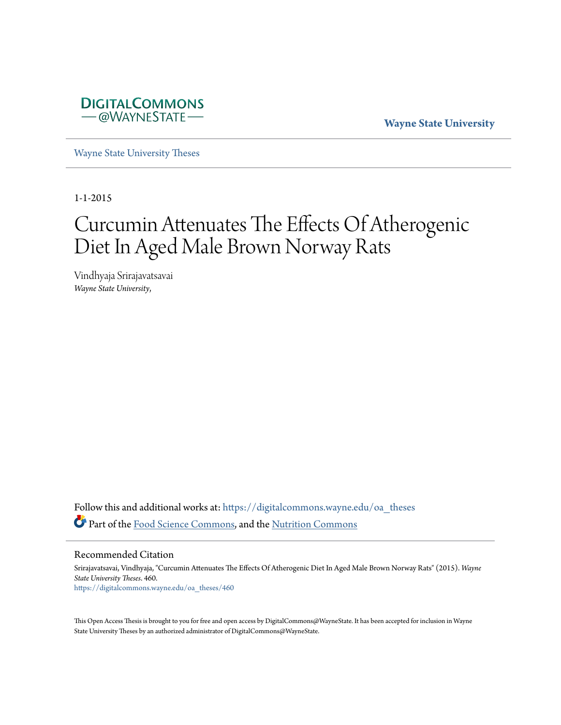

**Wayne State University**

[Wayne State University Theses](https://digitalcommons.wayne.edu/oa_theses?utm_source=digitalcommons.wayne.edu%2Foa_theses%2F460&utm_medium=PDF&utm_campaign=PDFCoverPages)

1-1-2015

# Curcumin Attenuates The Effects Of Atherogenic Diet In Aged Male Brown Norway Rats

Vindhyaja Srirajavatsavai *Wayne State University*,

Follow this and additional works at: [https://digitalcommons.wayne.edu/oa\\_theses](https://digitalcommons.wayne.edu/oa_theses?utm_source=digitalcommons.wayne.edu%2Foa_theses%2F460&utm_medium=PDF&utm_campaign=PDFCoverPages) Part of the [Food Science Commons](http://network.bepress.com/hgg/discipline/84?utm_source=digitalcommons.wayne.edu%2Foa_theses%2F460&utm_medium=PDF&utm_campaign=PDFCoverPages), and the [Nutrition Commons](http://network.bepress.com/hgg/discipline/95?utm_source=digitalcommons.wayne.edu%2Foa_theses%2F460&utm_medium=PDF&utm_campaign=PDFCoverPages)

Recommended Citation

Srirajavatsavai, Vindhyaja, "Curcumin Attenuates The Effects Of Atherogenic Diet In Aged Male Brown Norway Rats" (2015). *Wayne State University Theses*. 460. [https://digitalcommons.wayne.edu/oa\\_theses/460](https://digitalcommons.wayne.edu/oa_theses/460?utm_source=digitalcommons.wayne.edu%2Foa_theses%2F460&utm_medium=PDF&utm_campaign=PDFCoverPages)

This Open Access Thesis is brought to you for free and open access by DigitalCommons@WayneState. It has been accepted for inclusion in Wayne State University Theses by an authorized administrator of DigitalCommons@WayneState.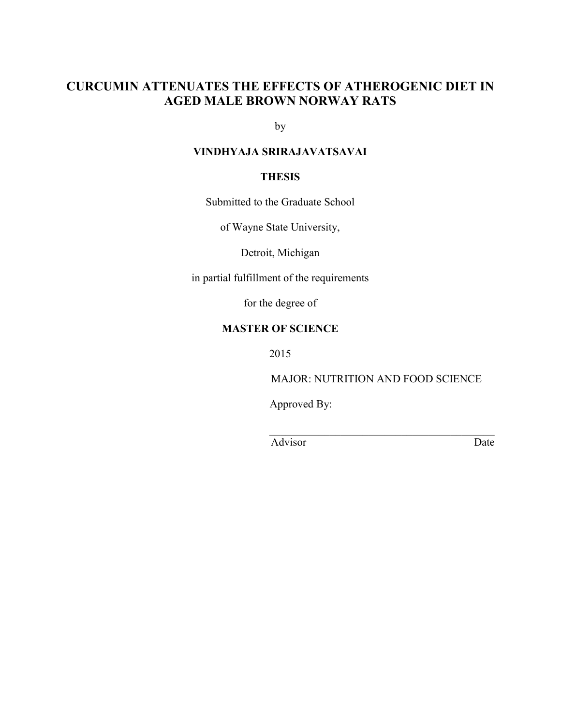# **CURCUMIN ATTENUATES THE EFFECTS OF ATHEROGENIC DIET IN AGED MALE BROWN NORWAY RATS**

by

# **VINDHYAJA SRIRAJAVATSAVAI**

#### **THESIS**

Submitted to the Graduate School

of Wayne State University,

Detroit, Michigan

in partial fulfillment of the requirements

for the degree of

# **MASTER OF SCIENCE**

2015

MAJOR: NUTRITION AND FOOD SCIENCE

Approved By:

Advisor Date

 $\mathcal{L}_\mathcal{L} = \{ \mathcal{L}_\mathcal{L} \mid \mathcal{L}_\mathcal{L} = \{ \mathcal{L}_\mathcal{L} \mid \mathcal{L}_\mathcal{L} = \{ \mathcal{L}_\mathcal{L} \mid \mathcal{L}_\mathcal{L} = \{ \mathcal{L}_\mathcal{L} \mid \mathcal{L}_\mathcal{L} = \{ \mathcal{L}_\mathcal{L} \mid \mathcal{L}_\mathcal{L} = \{ \mathcal{L}_\mathcal{L} \mid \mathcal{L}_\mathcal{L} = \{ \mathcal{L}_\mathcal{L} \mid \mathcal{L}_\mathcal{L} = \{ \math$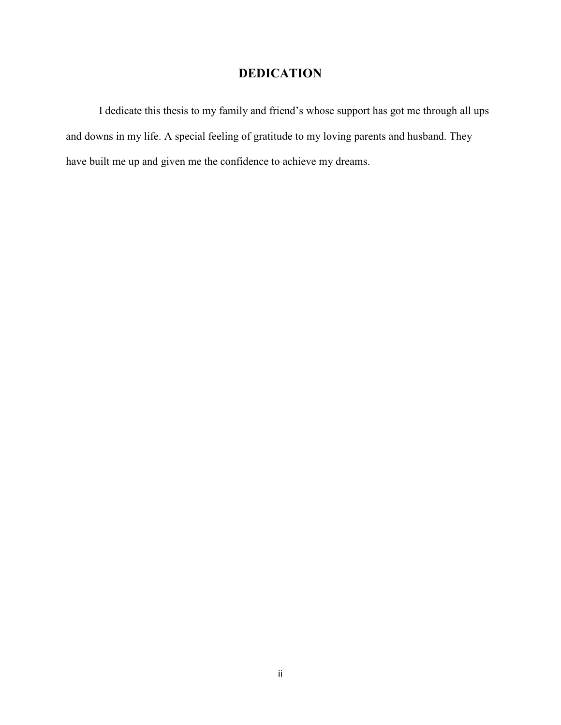# **DEDICATION**

I dedicate this thesis to my family and friend's whose support has got me through all ups and downs in my life. A special feeling of gratitude to my loving parents and husband. They have built me up and given me the confidence to achieve my dreams.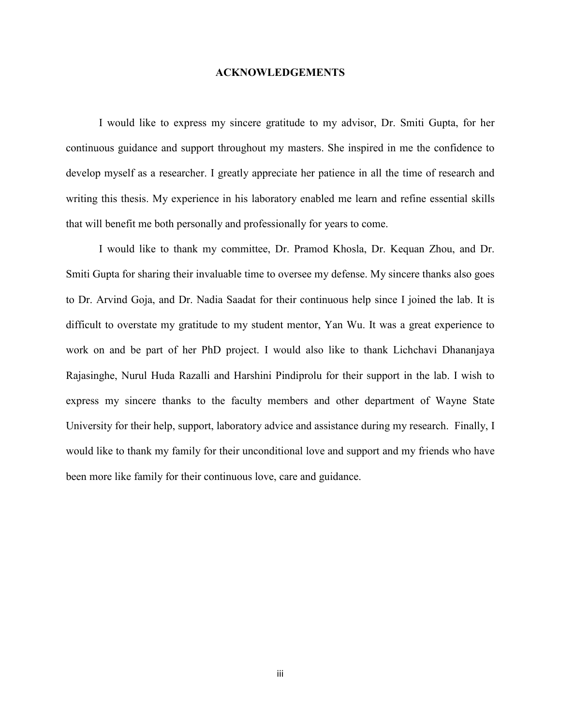#### **ACKNOWLEDGEMENTS**

I would like to express my sincere gratitude to my advisor, Dr. Smiti Gupta, for her continuous guidance and support throughout my masters. She inspired in me the confidence to develop myself as a researcher. I greatly appreciate her patience in all the time of research and writing this thesis. My experience in his laboratory enabled me learn and refine essential skills that will benefit me both personally and professionally for years to come.

I would like to thank my committee, Dr. Pramod Khosla, Dr. Kequan Zhou, and Dr. Smiti Gupta for sharing their invaluable time to oversee my defense. My sincere thanks also goes to Dr. Arvind Goja, and Dr. Nadia Saadat for their continuous help since I joined the lab. It is difficult to overstate my gratitude to my student mentor, Yan Wu. It was a great experience to work on and be part of her PhD project. I would also like to thank Lichchavi Dhananjaya Rajasinghe, Nurul Huda Razalli and Harshini Pindiprolu for their support in the lab. I wish to express my sincere thanks to the faculty members and other department of Wayne State University for their help, support, laboratory advice and assistance during my research. Finally, I would like to thank my family for their unconditional love and support and my friends who have been more like family for their continuous love, care and guidance.

iii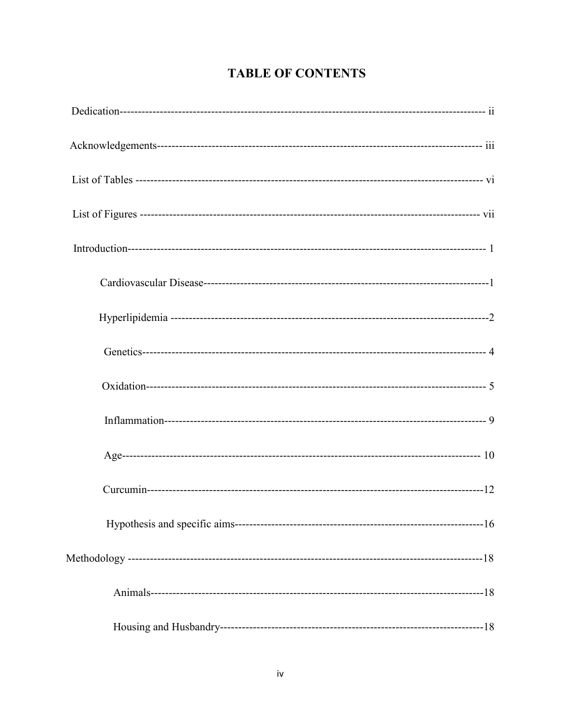# **TABLE OF CONTENTS**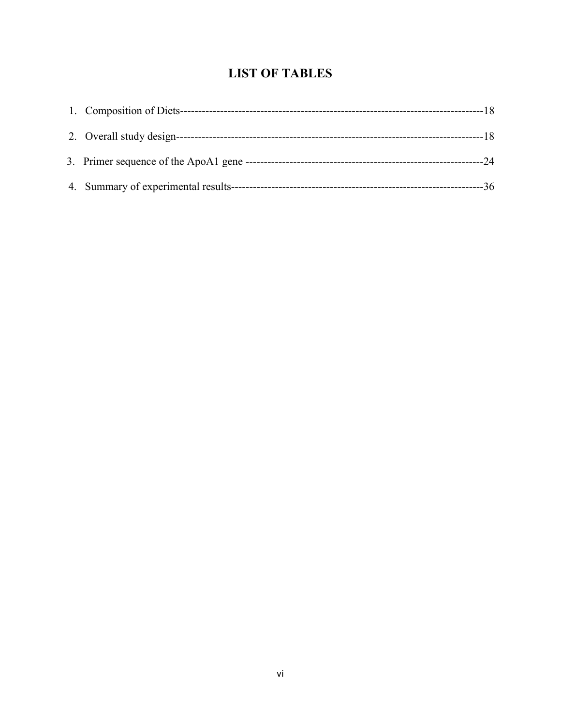# **LIST OF TABLES**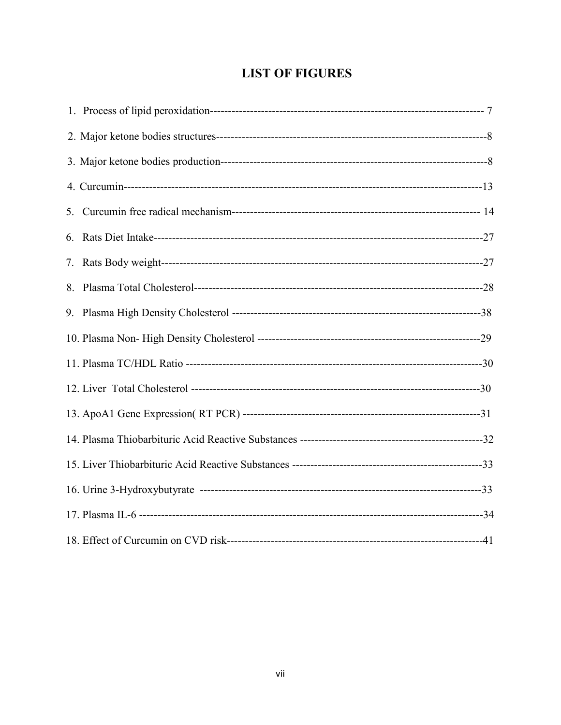# **LIST OF FIGURES**

| 5. |  |
|----|--|
| 6. |  |
| 7. |  |
|    |  |
|    |  |
|    |  |
|    |  |
|    |  |
|    |  |
|    |  |
|    |  |
|    |  |
|    |  |
|    |  |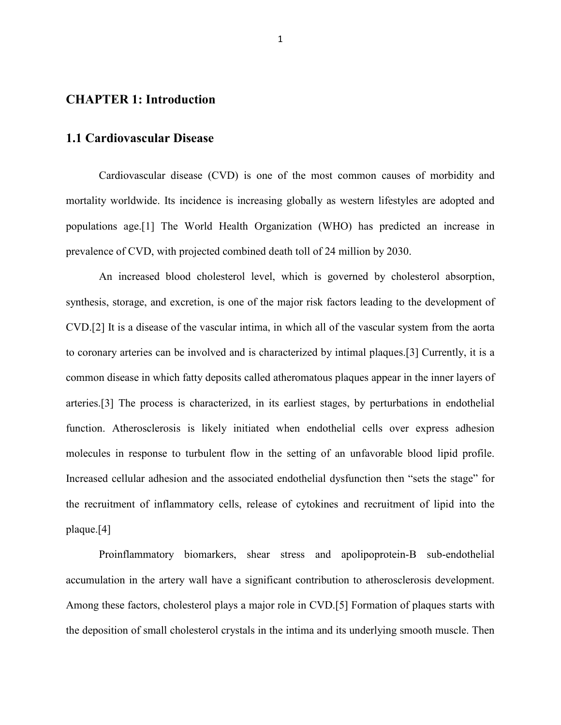### **CHAPTER 1: Introduction**

#### **1.1 Cardiovascular Disease**

Cardiovascular disease (CVD) is one of the most common causes of morbidity and mortality worldwide. Its incidence is increasing globally as western lifestyles are adopted and populations age.[1] The World Health Organization (WHO) has predicted an increase in prevalence of CVD, with projected combined death toll of 24 million by 2030.

An increased blood cholesterol level, which is governed by cholesterol absorption, synthesis, storage, and excretion, is one of the major risk factors leading to the development of CVD.[2] It is a disease of the vascular intima, in which all of the vascular system from the aorta to coronary arteries can be involved and is characterized by intimal plaques.[3] Currently, it is a common disease in which fatty deposits called atheromatous plaques appear in the inner layers of arteries.[3] The process is characterized, in its earliest stages, by perturbations in endothelial function. Atherosclerosis is likely initiated when endothelial cells over express adhesion molecules in response to turbulent flow in the setting of an unfavorable blood lipid profile. Increased cellular adhesion and the associated endothelial dysfunction then "sets the stage" for the recruitment of inflammatory cells, release of cytokines and recruitment of lipid into the plaque.[4]

Proinflammatory biomarkers, shear stress and apolipoprotein-B sub-endothelial accumulation in the artery wall have a significant contribution to atherosclerosis development. Among these factors, cholesterol plays a major role in CVD.[5] Formation of plaques starts with the deposition of small cholesterol crystals in the intima and its underlying smooth muscle. Then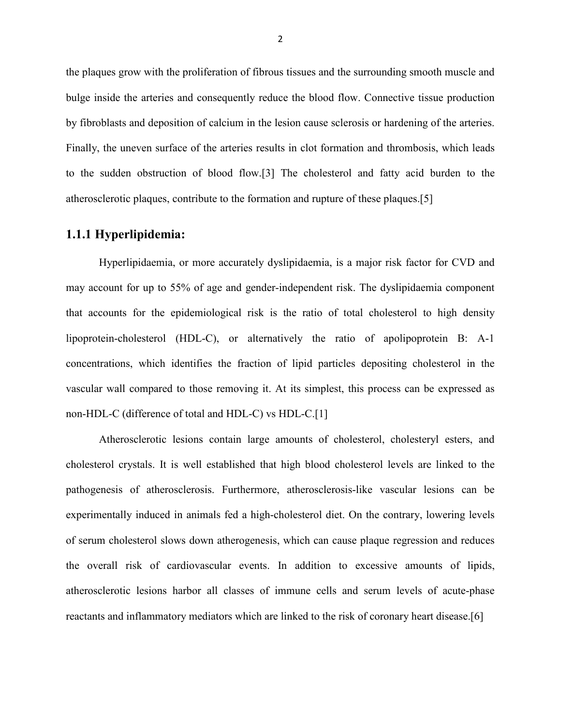the plaques grow with the proliferation of fibrous tissues and the surrounding smooth muscle and bulge inside the arteries and consequently reduce the blood flow. Connective tissue production by fibroblasts and deposition of calcium in the lesion cause sclerosis or hardening of the arteries. Finally, the uneven surface of the arteries results in clot formation and thrombosis, which leads to the sudden obstruction of blood flow.[3] The cholesterol and fatty acid burden to the atherosclerotic plaques, contribute to the formation and rupture of these plaques.[5]

# **1.1.1 Hyperlipidemia:**

Hyperlipidaemia, or more accurately dyslipidaemia, is a major risk factor for CVD and may account for up to 55% of age and gender-independent risk. The dyslipidaemia component that accounts for the epidemiological risk is the ratio of total cholesterol to high density lipoprotein-cholesterol (HDL-C), or alternatively the ratio of apolipoprotein B: A-1 concentrations, which identifies the fraction of lipid particles depositing cholesterol in the vascular wall compared to those removing it. At its simplest, this process can be expressed as non-HDL-C (difference of total and HDL-C) vs HDL-C.[1]

Atherosclerotic lesions contain large amounts of cholesterol, cholesteryl esters, and cholesterol crystals. It is well established that high blood cholesterol levels are linked to the pathogenesis of atherosclerosis. Furthermore, atherosclerosis-like vascular lesions can be experimentally induced in animals fed a high-cholesterol diet. On the contrary, lowering levels of serum cholesterol slows down atherogenesis, which can cause plaque regression and reduces the overall risk of cardiovascular events. In addition to excessive amounts of lipids, atherosclerotic lesions harbor all classes of immune cells and serum levels of acute-phase reactants and inflammatory mediators which are linked to the risk of coronary heart disease.[6]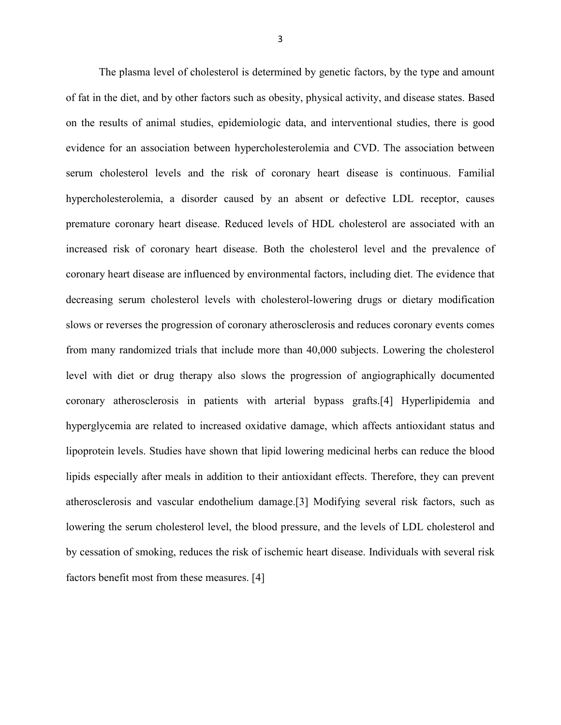The plasma level of cholesterol is determined by genetic factors, by the type and amount of fat in the diet, and by other factors such as obesity, physical activity, and disease states. Based on the results of animal studies, epidemiologic data, and interventional studies, there is good evidence for an association between hypercholesterolemia and CVD. The association between serum cholesterol levels and the risk of coronary heart disease is continuous. Familial hypercholesterolemia, a disorder caused by an absent or defective LDL receptor, causes premature coronary heart disease. Reduced levels of HDL cholesterol are associated with an increased risk of coronary heart disease. Both the cholesterol level and the prevalence of coronary heart disease are influenced by environmental factors, including diet. The evidence that decreasing serum cholesterol levels with cholesterol-lowering drugs or dietary modification slows or reverses the progression of coronary atherosclerosis and reduces coronary events comes from many randomized trials that include more than 40,000 subjects. Lowering the cholesterol level with diet or drug therapy also slows the progression of angiographically documented coronary atherosclerosis in patients with arterial bypass grafts.[4] Hyperlipidemia and hyperglycemia are related to increased oxidative damage, which affects antioxidant status and lipoprotein levels. Studies have shown that lipid lowering medicinal herbs can reduce the blood lipids especially after meals in addition to their antioxidant effects. Therefore, they can prevent atherosclerosis and vascular endothelium damage.[3] Modifying several risk factors, such as lowering the serum cholesterol level, the blood pressure, and the levels of LDL cholesterol and by cessation of smoking, reduces the risk of ischemic heart disease. Individuals with several risk factors benefit most from these measures. [4]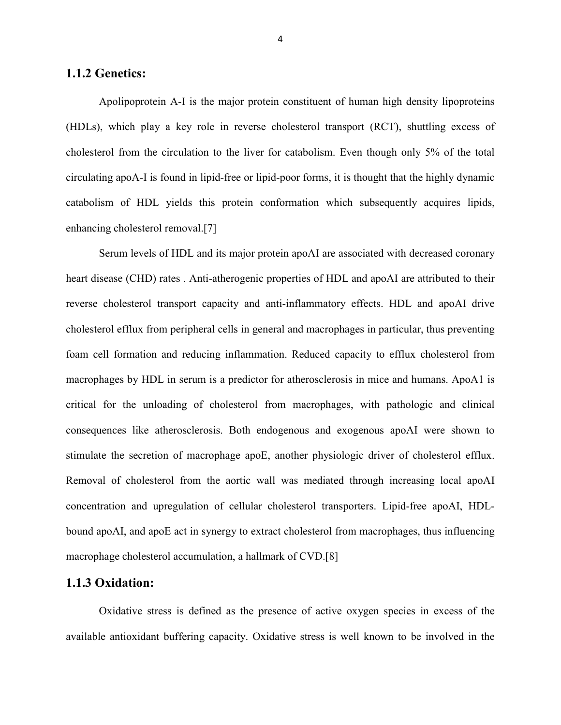#### **1.1.2 Genetics:**

Apolipoprotein A-I is the major protein constituent of human high density lipoproteins (HDLs), which play a key role in reverse cholesterol transport (RCT), shuttling excess of cholesterol from the circulation to the liver for catabolism. Even though only 5% of the total circulating apoA-I is found in lipid-free or lipid-poor forms, it is thought that the highly dynamic catabolism of HDL yields this protein conformation which subsequently acquires lipids, enhancing cholesterol removal.[7]

Serum levels of HDL and its major protein apoAI are associated with decreased coronary heart disease (CHD) rates . Anti-atherogenic properties of HDL and apoAI are attributed to their reverse cholesterol transport capacity and anti-inflammatory effects. HDL and apoAI drive cholesterol efflux from peripheral cells in general and macrophages in particular, thus preventing foam cell formation and reducing inflammation. Reduced capacity to efflux cholesterol from macrophages by HDL in serum is a predictor for atherosclerosis in mice and humans. ApoA1 is critical for the unloading of cholesterol from macrophages, with pathologic and clinical consequences like atherosclerosis. Both endogenous and exogenous apoAI were shown to stimulate the secretion of macrophage apoE, another physiologic driver of cholesterol efflux. Removal of cholesterol from the aortic wall was mediated through increasing local apoAI concentration and upregulation of cellular cholesterol transporters. Lipid-free apoAI, HDLbound apoAI, and apoE act in synergy to extract cholesterol from macrophages, thus influencing macrophage cholesterol accumulation, a hallmark of CVD.[8]

#### **1.1.3 Oxidation:**

Oxidative stress is defined as the presence of active oxygen species in excess of the available antioxidant buffering capacity. Oxidative stress is well known to be involved in the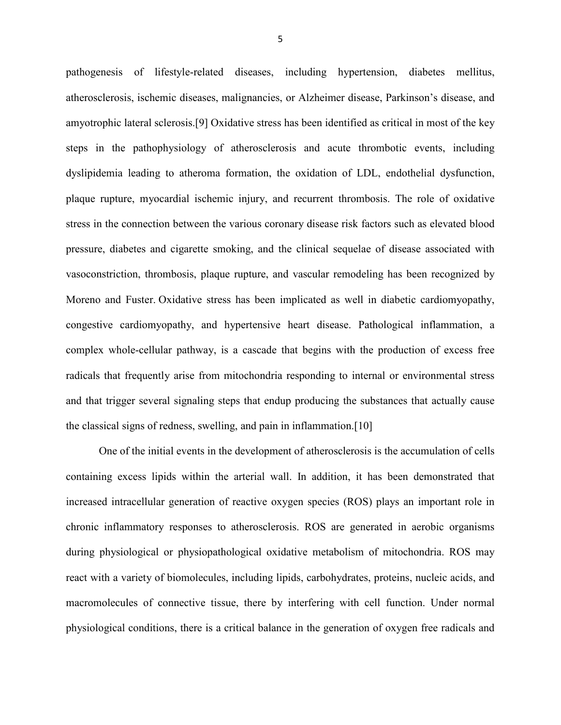pathogenesis of lifestyle-related diseases, including hypertension, diabetes mellitus, atherosclerosis, ischemic diseases, malignancies, or Alzheimer disease, Parkinson's disease, and amyotrophic lateral sclerosis.[9] Oxidative stress has been identified as critical in most of the key steps in the pathophysiology of atherosclerosis and acute thrombotic events, including dyslipidemia leading to atheroma formation, the oxidation of LDL, endothelial dysfunction, plaque rupture, myocardial ischemic injury, and recurrent thrombosis. The role of oxidative stress in the connection between the various coronary disease risk factors such as elevated blood pressure, diabetes and cigarette smoking, and the clinical sequelae of disease associated with vasoconstriction, thrombosis, plaque rupture, and vascular remodeling has been recognized by Moreno and Fuster. Oxidative stress has been implicated as well in diabetic cardiomyopathy, congestive cardiomyopathy, and hypertensive heart disease. Pathological inflammation, a complex whole-cellular pathway, is a cascade that begins with the production of excess free radicals that frequently arise from mitochondria responding to internal or environmental stress and that trigger several signaling steps that endup producing the substances that actually cause the classical signs of redness, swelling, and pain in inflammation.[10]

One of the initial events in the development of atherosclerosis is the accumulation of cells containing excess lipids within the arterial wall. In addition, it has been demonstrated that increased intracellular generation of reactive oxygen species (ROS) plays an important role in chronic inflammatory responses to atherosclerosis. ROS are generated in aerobic organisms during physiological or physiopathological oxidative metabolism of mitochondria. ROS may react with a variety of biomolecules, including lipids, carbohydrates, proteins, nucleic acids, and macromolecules of connective tissue, there by interfering with cell function. Under normal physiological conditions, there is a critical balance in the generation of oxygen free radicals and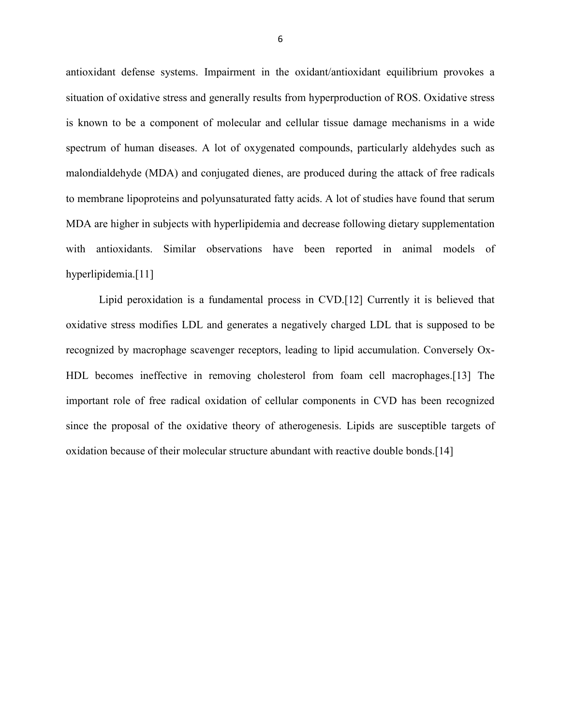antioxidant defense systems. Impairment in the oxidant/antioxidant equilibrium provokes a situation of oxidative stress and generally results from hyperproduction of ROS. Oxidative stress is known to be a component of molecular and cellular tissue damage mechanisms in a wide spectrum of human diseases. A lot of oxygenated compounds, particularly aldehydes such as malondialdehyde (MDA) and conjugated dienes, are produced during the attack of free radicals to membrane lipoproteins and polyunsaturated fatty acids. A lot of studies have found that serum MDA are higher in subjects with hyperlipidemia and decrease following dietary supplementation with antioxidants. Similar observations have been reported in animal models of hyperlipidemia.[11]

Lipid peroxidation is a fundamental process in CVD.[12] Currently it is believed that oxidative stress modifies LDL and generates a negatively charged LDL that is supposed to be recognized by macrophage scavenger receptors, leading to lipid accumulation. Conversely Ox-HDL becomes ineffective in removing cholesterol from foam cell macrophages.[13] The important role of free radical oxidation of cellular components in CVD has been recognized since the proposal of the oxidative theory of atherogenesis. Lipids are susceptible targets of oxidation because of their molecular structure abundant with reactive double bonds.[14]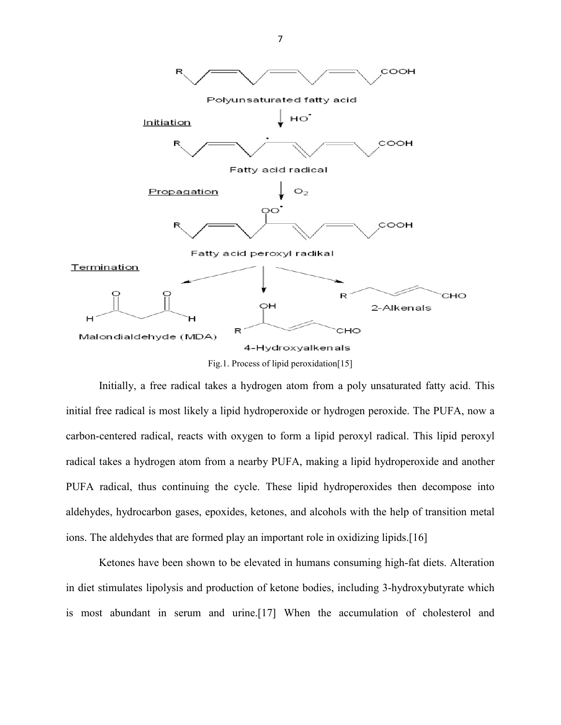

Initially, a free radical takes a hydrogen atom from a poly unsaturated fatty acid. This initial free radical is most likely a lipid hydroperoxide or hydrogen peroxide. The PUFA, now a carbon-centered radical, reacts with oxygen to form a lipid peroxyl radical. This lipid peroxyl radical takes a hydrogen atom from a nearby PUFA, making a lipid hydroperoxide and another PUFA radical, thus continuing the cycle. These lipid hydroperoxides then decompose into aldehydes, hydrocarbon gases, epoxides, ketones, and alcohols with the help of transition metal ions. The aldehydes that are formed play an important role in oxidizing lipids.[16]

Ketones have been shown to be elevated in humans consuming high-fat diets. Alteration in diet stimulates lipolysis and production of ketone bodies, including 3-hydroxybutyrate which is most abundant in serum and urine.[17] When the accumulation of cholesterol and

7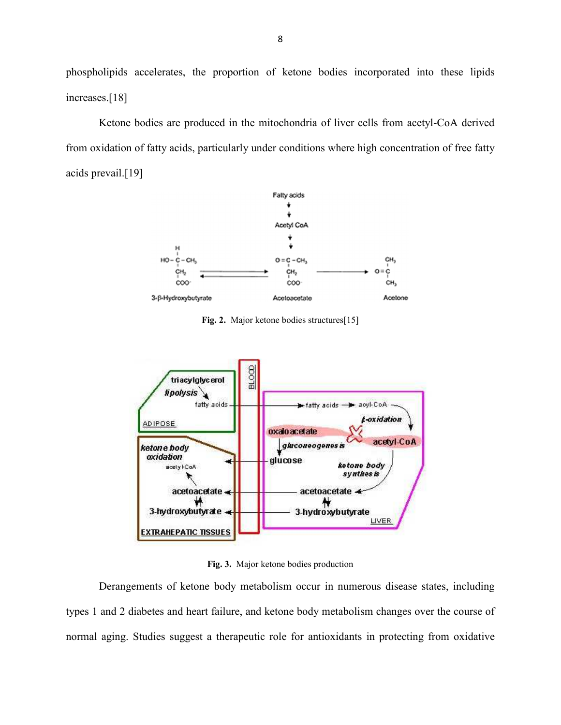phospholipids accelerates, the proportion of ketone bodies incorporated into these lipids increases.[18]

Ketone bodies are produced in the mitochondria of liver cells from acetyl-CoA derived from oxidation of fatty acids, particularly under conditions where high concentration of free fatty acids prevail.[19]



Fig. 2. Major ketone bodies structures<sup>[15]</sup>



**Fig. 3.** Major ketone bodies production

Derangements of ketone body metabolism occur in numerous disease states, including types 1 and 2 diabetes and heart failure, and ketone body metabolism changes over the course of normal aging. Studies suggest a therapeutic role for antioxidants in protecting from oxidative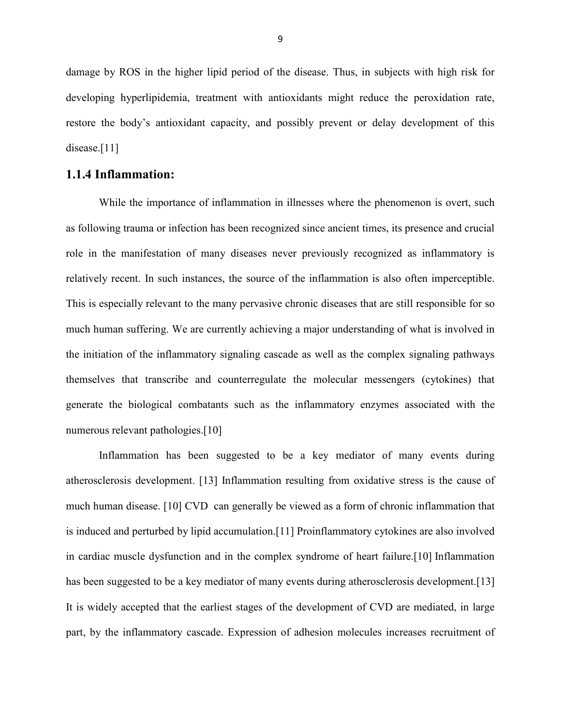damage by ROS in the higher lipid period of the disease. Thus, in subjects with high risk for developing hyperlipidemia, treatment with antioxidants might reduce the peroxidation rate, restore the body's antioxidant capacity, and possibly prevent or delay development of this disease.[11]

#### **1.1.4 Inflammation:**

While the importance of inflammation in illnesses where the phenomenon is overt, such as following trauma or infection has been recognized since ancient times, its presence and crucial role in the manifestation of many diseases never previously recognized as inflammatory is relatively recent. In such instances, the source of the inflammation is also often imperceptible. This is especially relevant to the many pervasive chronic diseases that are still responsible for so much human suffering. We are currently achieving a major understanding of what is involved in the initiation of the inflammatory signaling cascade as well as the complex signaling pathways themselves that transcribe and counterregulate the molecular messengers (cytokines) that generate the biological combatants such as the inflammatory enzymes associated with the numerous relevant pathologies.[10]

Inflammation has been suggested to be a key mediator of many events during atherosclerosis development. [13] Inflammation resulting from oxidative stress is the cause of much human disease. [10] CVD can generally be viewed as a form of chronic inflammation that is induced and perturbed by lipid accumulation.[11] Proinflammatory cytokines are also involved in cardiac muscle dysfunction and in the complex syndrome of heart failure.[10] Inflammation has been suggested to be a key mediator of many events during atherosclerosis development. [13] It is widely accepted that the earliest stages of the development of CVD are mediated, in large part, by the inflammatory cascade. Expression of adhesion molecules increases recruitment of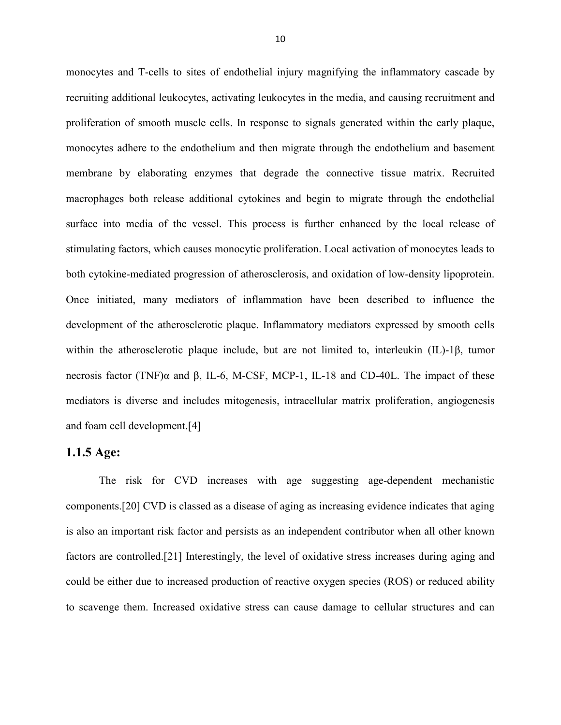monocytes and T-cells to sites of endothelial injury magnifying the inflammatory cascade by recruiting additional leukocytes, activating leukocytes in the media, and causing recruitment and proliferation of smooth muscle cells. In response to signals generated within the early plaque, monocytes adhere to the endothelium and then migrate through the endothelium and basement membrane by elaborating enzymes that degrade the connective tissue matrix. Recruited macrophages both release additional cytokines and begin to migrate through the endothelial surface into media of the vessel. This process is further enhanced by the local release of stimulating factors, which causes monocytic proliferation. Local activation of monocytes leads to both cytokine-mediated progression of atherosclerosis, and oxidation of low-density lipoprotein. Once initiated, many mediators of inflammation have been described to influence the development of the atherosclerotic plaque. Inflammatory mediators expressed by smooth cells within the atherosclerotic plaque include, but are not limited to, interleukin (IL)-1β, tumor necrosis factor (TNF)α and β, IL-6, M-CSF, MCP-1, IL-18 and CD-40L. The impact of these mediators is diverse and includes mitogenesis, intracellular matrix proliferation, angiogenesis and foam cell development.[4]

#### **1.1.5 Age:**

The risk for CVD increases with age suggesting age-dependent mechanistic components.[20] CVD is classed as a disease of aging as increasing evidence indicates that aging is also an important risk factor and persists as an independent contributor when all other known factors are controlled.[21] Interestingly, the level of oxidative stress increases during aging and could be either due to increased production of reactive oxygen species (ROS) or reduced ability to scavenge them. Increased oxidative stress can cause damage to cellular structures and can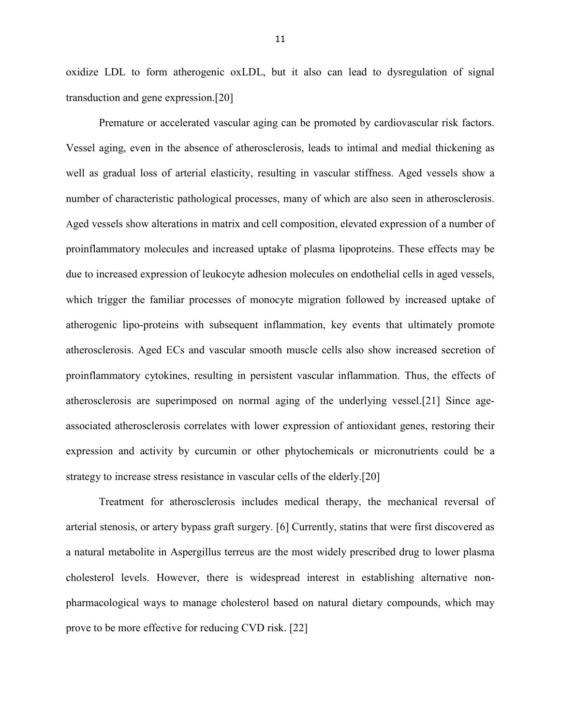oxidize LDL to form atherogenic oxLDL, but it also can lead to dysregulation of signal transduction and gene expression.[20]

 Premature or accelerated vascular aging can be promoted by cardiovascular risk factors. Vessel aging, even in the absence of atherosclerosis, leads to intimal and medial thickening as well as gradual loss of arterial elasticity, resulting in vascular stiffness. Aged vessels show a number of characteristic pathological processes, many of which are also seen in atherosclerosis. Aged vessels show alterations in matrix and cell composition, elevated expression of a number of proinflammatory molecules and increased uptake of plasma lipoproteins. These effects may be due to increased expression of leukocyte adhesion molecules on endothelial cells in aged vessels, which trigger the familiar processes of monocyte migration followed by increased uptake of atherogenic lipo-proteins with subsequent inflammation, key events that ultimately promote atherosclerosis. Aged ECs and vascular smooth muscle cells also show increased secretion of proinflammatory cytokines, resulting in persistent vascular inflammation. Thus, the effects of atherosclerosis are superimposed on normal aging of the underlying vessel.[21] Since ageassociated atherosclerosis correlates with lower expression of antioxidant genes, restoring their expression and activity by curcumin or other phytochemicals or micronutrients could be a strategy to increase stress resistance in vascular cells of the elderly.[20]

Treatment for atherosclerosis includes medical therapy, the mechanical reversal of arterial stenosis, or artery bypass graft surgery. [6] Currently, statins that were first discovered as a natural metabolite in Aspergillus terreus are the most widely prescribed drug to lower plasma cholesterol levels. However, there is widespread interest in establishing alternative nonpharmacological ways to manage cholesterol based on natural dietary compounds, which may prove to be more effective for reducing CVD risk. [22]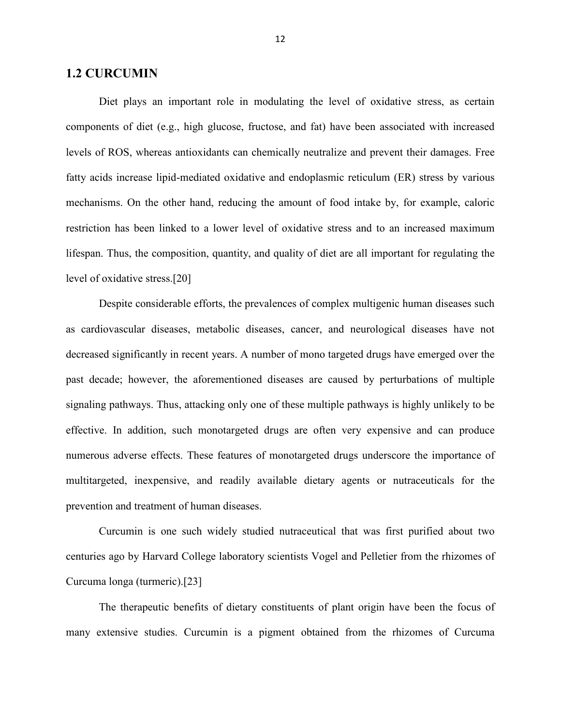#### **1.2 CURCUMIN**

Diet plays an important role in modulating the level of oxidative stress, as certain components of diet (e.g., high glucose, fructose, and fat) have been associated with increased levels of ROS, whereas antioxidants can chemically neutralize and prevent their damages. Free fatty acids increase lipid-mediated oxidative and endoplasmic reticulum (ER) stress by various mechanisms. On the other hand, reducing the amount of food intake by, for example, caloric restriction has been linked to a lower level of oxidative stress and to an increased maximum lifespan. Thus, the composition, quantity, and quality of diet are all important for regulating the level of oxidative stress.[20]

Despite considerable efforts, the prevalences of complex multigenic human diseases such as cardiovascular diseases, metabolic diseases, cancer, and neurological diseases have not decreased significantly in recent years. A number of mono targeted drugs have emerged over the past decade; however, the aforementioned diseases are caused by perturbations of multiple signaling pathways. Thus, attacking only one of these multiple pathways is highly unlikely to be effective. In addition, such monotargeted drugs are often very expensive and can produce numerous adverse effects. These features of monotargeted drugs underscore the importance of multitargeted, inexpensive, and readily available dietary agents or nutraceuticals for the prevention and treatment of human diseases.

Curcumin is one such widely studied nutraceutical that was first purified about two centuries ago by Harvard College laboratory scientists Vogel and Pelletier from the rhizomes of Curcuma longa (turmeric).[23]

The therapeutic benefits of dietary constituents of plant origin have been the focus of many extensive studies. Curcumin is a pigment obtained from the rhizomes of Curcuma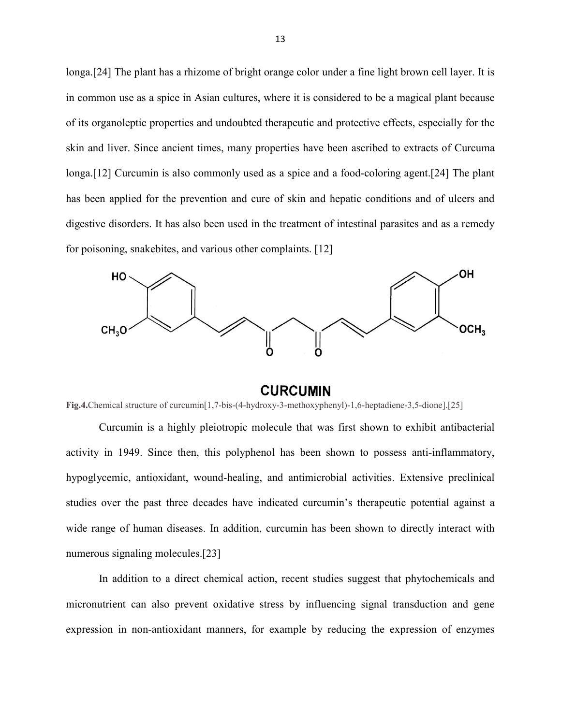longa.[24] The plant has a rhizome of bright orange color under a fine light brown cell layer. It is in common use as a spice in Asian cultures, where it is considered to be a magical plant because of its organoleptic properties and undoubted therapeutic and protective effects, especially for the skin and liver. Since ancient times, many properties have been ascribed to extracts of Curcuma longa.[12] Curcumin is also commonly used as a spice and a food-coloring agent.[24] The plant has been applied for the prevention and cure of skin and hepatic conditions and of ulcers and digestive disorders. It has also been used in the treatment of intestinal parasites and as a remedy for poisoning, snakebites, and various other complaints. [12]



#### **CURCUMIN**

**Fig.4.**Chemical structure of curcumin[1,7-bis-(4-hydroxy-3-methoxyphenyl)-1,6-heptadiene-3,5-dione].[25]

Curcumin is a highly pleiotropic molecule that was first shown to exhibit antibacterial activity in 1949. Since then, this polyphenol has been shown to possess anti-inflammatory, hypoglycemic, antioxidant, wound-healing, and antimicrobial activities. Extensive preclinical studies over the past three decades have indicated curcumin's therapeutic potential against a wide range of human diseases. In addition, curcumin has been shown to directly interact with numerous signaling molecules.[23]

In addition to a direct chemical action, recent studies suggest that phytochemicals and micronutrient can also prevent oxidative stress by influencing signal transduction and gene expression in non-antioxidant manners, for example by reducing the expression of enzymes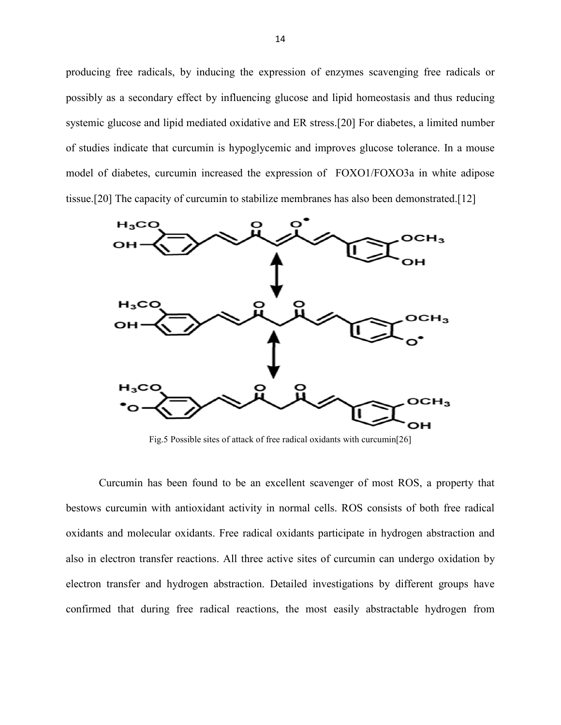producing free radicals, by inducing the expression of enzymes scavenging free radicals or possibly as a secondary effect by influencing glucose and lipid homeostasis and thus reducing systemic glucose and lipid mediated oxidative and ER stress.[20] For diabetes, a limited number of studies indicate that curcumin is hypoglycemic and improves glucose tolerance. In a mouse model of diabetes, curcumin increased the expression of FOXO1/FOXO3a in white adipose tissue.[20] The capacity of curcumin to stabilize membranes has also been demonstrated.[12]



Fig.5 Possible sites of attack of free radical oxidants with curcumin[26]

Curcumin has been found to be an excellent scavenger of most ROS, a property that bestows curcumin with antioxidant activity in normal cells. ROS consists of both free radical oxidants and molecular oxidants. Free radical oxidants participate in hydrogen abstraction and also in electron transfer reactions. All three active sites of curcumin can undergo oxidation by electron transfer and hydrogen abstraction. Detailed investigations by different groups have confirmed that during free radical reactions, the most easily abstractable hydrogen from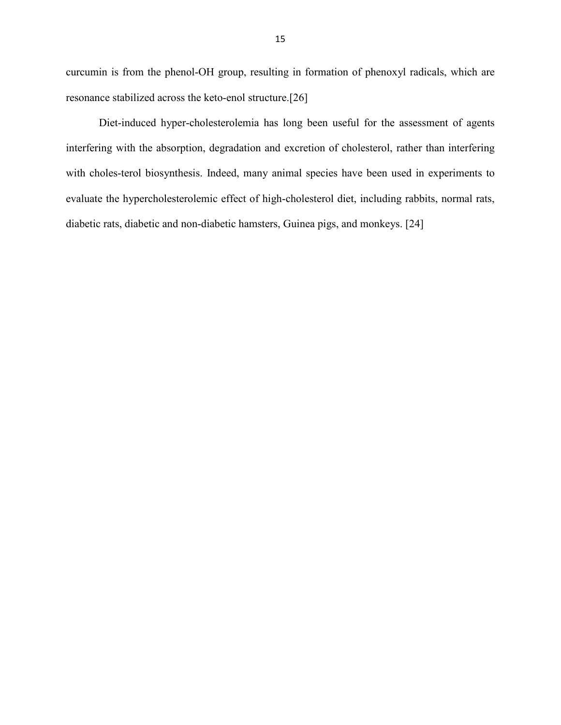curcumin is from the phenol-OH group, resulting in formation of phenoxyl radicals, which are resonance stabilized across the keto-enol structure.[26]

Diet-induced hyper-cholesterolemia has long been useful for the assessment of agents interfering with the absorption, degradation and excretion of cholesterol, rather than interfering with choles-terol biosynthesis. Indeed, many animal species have been used in experiments to evaluate the hypercholesterolemic effect of high-cholesterol diet, including rabbits, normal rats, diabetic rats, diabetic and non-diabetic hamsters, Guinea pigs, and monkeys. [24]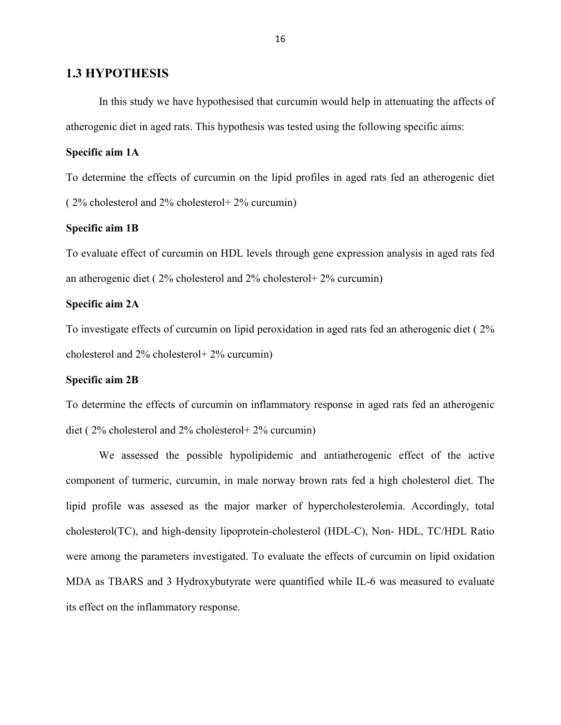#### **1.3 HYPOTHESIS**

In this study we have hypothesised that curcumin would help in attenuating the affects of atherogenic diet in aged rats. This hypothesis was tested using the following specific aims:

#### **Specific aim 1A**

To determine the effects of curcumin on the lipid profiles in aged rats fed an atherogenic diet ( 2% cholesterol and 2% cholesterol+ 2% curcumin)

#### **Specific aim 1B**

To evaluate effect of curcumin on HDL levels through gene expression analysis in aged rats fed an atherogenic diet ( 2% cholesterol and 2% cholesterol+ 2% curcumin)

#### **Specific aim 2A**

To investigate effects of curcumin on lipid peroxidation in aged rats fed an atherogenic diet ( 2% cholesterol and 2% cholesterol+ 2% curcumin)

#### **Specific aim 2B**

To determine the effects of curcumin on inflammatory response in aged rats fed an atherogenic diet ( 2% cholesterol and 2% cholesterol+ 2% curcumin)

We assessed the possible hypolipidemic and antiatherogenic effect of the active component of turmeric, curcumin, in male norway brown rats fed a high cholesterol diet. The lipid profile was assesed as the major marker of hypercholesterolemia. Accordingly, total cholesterol(TC), and high-density lipoprotein-cholesterol (HDL-C), Non- HDL, TC/HDL Ratio were among the parameters investigated. To evaluate the effects of curcumin on lipid oxidation MDA as TBARS and 3 Hydroxybutyrate were quantified while IL-6 was measured to evaluate its effect on the inflammatory response.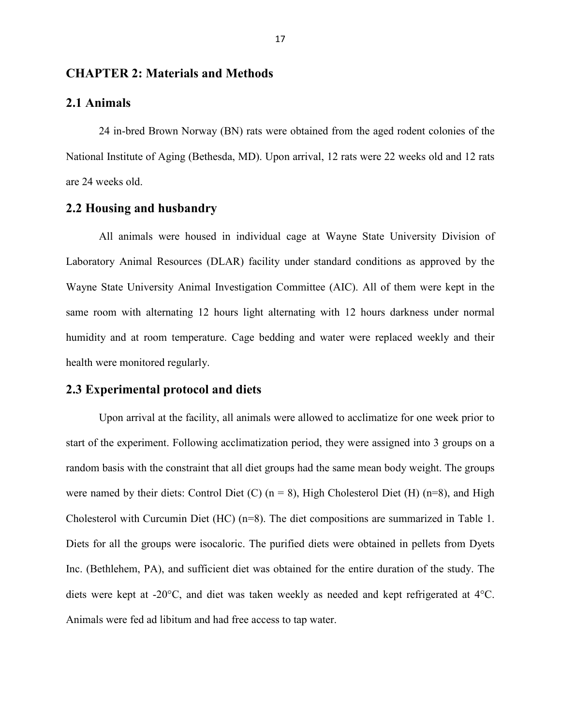#### **CHAPTER 2: Materials and Methods**

#### **2.1 Animals**

24 in-bred Brown Norway (BN) rats were obtained from the aged rodent colonies of the National Institute of Aging (Bethesda, MD). Upon arrival, 12 rats were 22 weeks old and 12 rats are 24 weeks old.

#### **2.2 Housing and husbandry**

All animals were housed in individual cage at Wayne State University Division of Laboratory Animal Resources (DLAR) facility under standard conditions as approved by the Wayne State University Animal Investigation Committee (AIC). All of them were kept in the same room with alternating 12 hours light alternating with 12 hours darkness under normal humidity and at room temperature. Cage bedding and water were replaced weekly and their health were monitored regularly.

### **2.3 Experimental protocol and diets**

Upon arrival at the facility, all animals were allowed to acclimatize for one week prior to start of the experiment. Following acclimatization period, they were assigned into 3 groups on a random basis with the constraint that all diet groups had the same mean body weight. The groups were named by their diets: Control Diet (C)  $(n = 8)$ , High Cholesterol Diet (H)  $(n=8)$ , and High Cholesterol with Curcumin Diet (HC) (n=8). The diet compositions are summarized in Table 1. Diets for all the groups were isocaloric. The purified diets were obtained in pellets from Dyets Inc. (Bethlehem, PA), and sufficient diet was obtained for the entire duration of the study. The diets were kept at -20°C, and diet was taken weekly as needed and kept refrigerated at 4°C. Animals were fed ad libitum and had free access to tap water.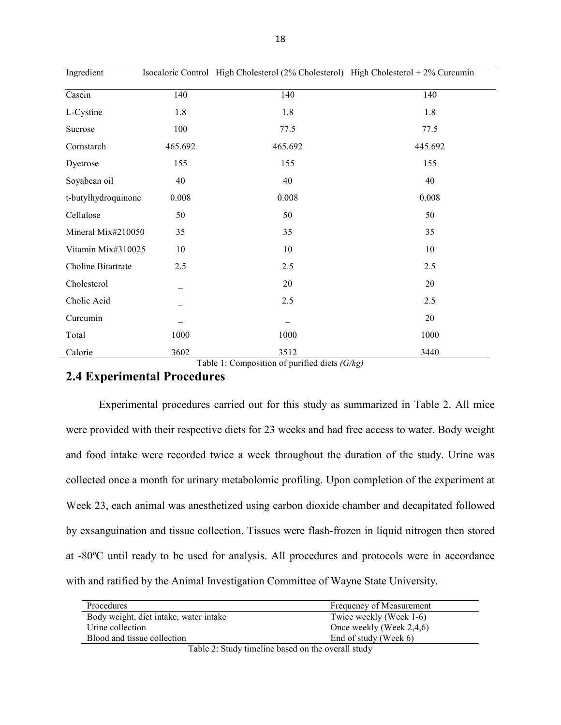| Ingredient          |         | Isocaloric Control High Cholesterol (2% Cholesterol) High Cholesterol + 2% Curcumin |         |
|---------------------|---------|-------------------------------------------------------------------------------------|---------|
| Casein              | 140     | 140                                                                                 | 140     |
| L-Cystine           | 1.8     | 1.8                                                                                 | 1.8     |
| Sucrose             | 100     | 77.5                                                                                | 77.5    |
| Cornstarch          | 465.692 | 465.692                                                                             | 445.692 |
| Dyetrose            | 155     | 155                                                                                 | 155     |
| Soyabean oil        | 40      | 40                                                                                  | 40      |
| t-butylhydroquinone | 0.008   | 0.008                                                                               | 0.008   |
| Cellulose           | 50      | 50                                                                                  | 50      |
| Mineral Mix#210050  | 35      | 35                                                                                  | 35      |
| Vitamin Mix#310025  | 10      | 10                                                                                  | 10      |
| Choline Bitartrate  | 2.5     | 2.5                                                                                 | 2.5     |
| Cholesterol         |         | 20                                                                                  | 20      |
| Cholic Acid         |         | 2.5                                                                                 | 2.5     |
| Curcumin            |         |                                                                                     | 20      |
| Total               | 1000    | 1000                                                                                | 1000    |
| Calorie             | 3602    | 3512                                                                                | 3440    |

Table 1: Composition of purified diets *(G/kg)*

# **2.4 Experimental Procedures**

Experimental procedures carried out for this study as summarized in Table 2. All mice were provided with their respective diets for 23 weeks and had free access to water. Body weight and food intake were recorded twice a week throughout the duration of the study. Urine was collected once a month for urinary metabolomic profiling. Upon completion of the experiment at Week 23, each animal was anesthetized using carbon dioxide chamber and decapitated followed by exsanguination and tissue collection. Tissues were flash-frozen in liquid nitrogen then stored at -80ºC until ready to be used for analysis. All procedures and protocols were in accordance with and ratified by the Animal Investigation Committee of Wayne State University.

| Procedures                             | Frequency of Measurement |
|----------------------------------------|--------------------------|
| Body weight, diet intake, water intake | Twice weekly (Week 1-6)  |
| Urine collection                       | Once weekly (Week 2,4,6) |
| Blood and tissue collection            | End of study (Week 6)    |
| $-11 - 20 - 1$<br>$\mathbf{H}$         |                          |

Table 2: Study timeline based on the overall study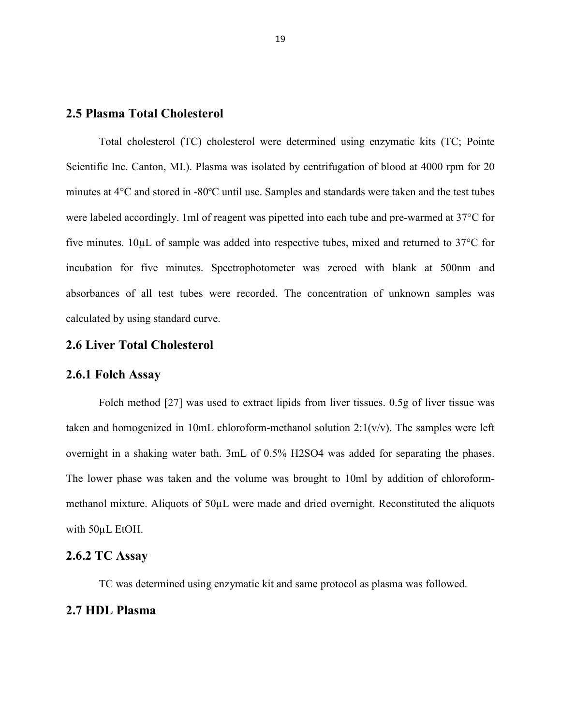#### **2.5 Plasma Total Cholesterol**

Total cholesterol (TC) cholesterol were determined using enzymatic kits (TC; Pointe Scientific Inc. Canton, MI.). Plasma was isolated by centrifugation of blood at 4000 rpm for 20 minutes at 4°C and stored in -80ºC until use. Samples and standards were taken and the test tubes were labeled accordingly. 1ml of reagent was pipetted into each tube and pre-warmed at 37°C for five minutes. 10µL of sample was added into respective tubes, mixed and returned to 37°C for incubation for five minutes. Spectrophotometer was zeroed with blank at 500nm and absorbances of all test tubes were recorded. The concentration of unknown samples was calculated by using standard curve.

#### **2.6 Liver Total Cholesterol**

#### **2.6.1 Folch Assay**

Folch method [27] was used to extract lipids from liver tissues. 0.5g of liver tissue was taken and homogenized in 10mL chloroform-methanol solution  $2:1(v/v)$ . The samples were left overnight in a shaking water bath. 3mL of 0.5% H2SO4 was added for separating the phases. The lower phase was taken and the volume was brought to 10ml by addition of chloroformmethanol mixture. Aliquots of 50µL were made and dried overnight. Reconstituted the aliquots with 50µL EtOH.

# **2.6.2 TC Assay**

TC was determined using enzymatic kit and same protocol as plasma was followed.

#### **2.7 HDL Plasma**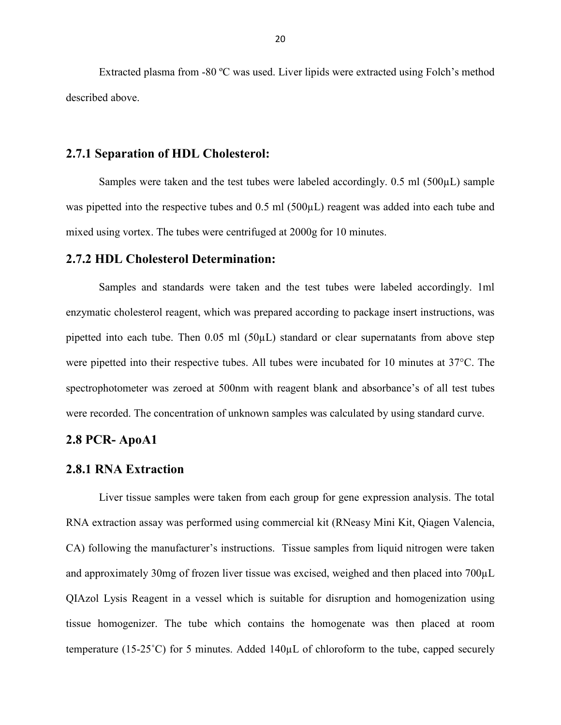Extracted plasma from -80 ºC was used. Liver lipids were extracted using Folch's method described above.

#### **2.7.1 Separation of HDL Cholesterol:**

Samples were taken and the test tubes were labeled accordingly.  $0.5$  ml  $(500\mu L)$  sample was pipetted into the respective tubes and 0.5 ml (500 $\mu$ L) reagent was added into each tube and mixed using vortex. The tubes were centrifuged at 2000g for 10 minutes.

#### **2.7.2 HDL Cholesterol Determination:**

Samples and standards were taken and the test tubes were labeled accordingly. 1ml enzymatic cholesterol reagent, which was prepared according to package insert instructions, was pipetted into each tube. Then 0.05 ml (50µL) standard or clear supernatants from above step were pipetted into their respective tubes. All tubes were incubated for 10 minutes at 37°C. The spectrophotometer was zeroed at 500nm with reagent blank and absorbance's of all test tubes were recorded. The concentration of unknown samples was calculated by using standard curve.

#### **2.8 PCR- ApoA1**

#### **2.8.1 RNA Extraction**

Liver tissue samples were taken from each group for gene expression analysis. The total RNA extraction assay was performed using commercial kit (RNeasy Mini Kit, Qiagen Valencia, CA) following the manufacturer's instructions. Tissue samples from liquid nitrogen were taken and approximately 30mg of frozen liver tissue was excised, weighed and then placed into 700µL QIAzol Lysis Reagent in a vessel which is suitable for disruption and homogenization using tissue homogenizer. The tube which contains the homogenate was then placed at room temperature (15-25˚C) for 5 minutes. Added 140µL of chloroform to the tube, capped securely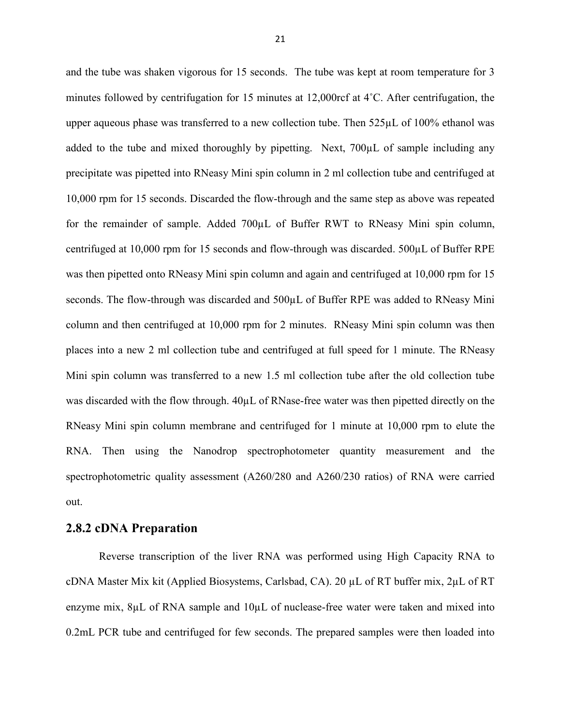and the tube was shaken vigorous for 15 seconds. The tube was kept at room temperature for 3 minutes followed by centrifugation for 15 minutes at 12,000rcf at 4˚C. After centrifugation, the upper aqueous phase was transferred to a new collection tube. Then 525µL of 100% ethanol was added to the tube and mixed thoroughly by pipetting. Next, 700µL of sample including any precipitate was pipetted into RNeasy Mini spin column in 2 ml collection tube and centrifuged at 10,000 rpm for 15 seconds. Discarded the flow-through and the same step as above was repeated for the remainder of sample. Added 700µL of Buffer RWT to RNeasy Mini spin column, centrifuged at 10,000 rpm for 15 seconds and flow-through was discarded. 500µL of Buffer RPE was then pipetted onto RNeasy Mini spin column and again and centrifuged at 10,000 rpm for 15 seconds. The flow-through was discarded and  $500\mu$ L of Buffer RPE was added to RNeasy Mini column and then centrifuged at 10,000 rpm for 2 minutes. RNeasy Mini spin column was then places into a new 2 ml collection tube and centrifuged at full speed for 1 minute. The RNeasy Mini spin column was transferred to a new 1.5 ml collection tube after the old collection tube was discarded with the flow through. 40µL of RNase-free water was then pipetted directly on the RNeasy Mini spin column membrane and centrifuged for 1 minute at 10,000 rpm to elute the RNA. Then using the Nanodrop spectrophotometer quantity measurement and the spectrophotometric quality assessment (A260/280 and A260/230 ratios) of RNA were carried out.

#### **2.8.2 cDNA Preparation**

Reverse transcription of the liver RNA was performed using High Capacity RNA to cDNA Master Mix kit (Applied Biosystems, Carlsbad, CA). 20 µL of RT buffer mix, 2µL of RT enzyme mix,  $8\mu$ L of RNA sample and  $10\mu$ L of nuclease-free water were taken and mixed into 0.2mL PCR tube and centrifuged for few seconds. The prepared samples were then loaded into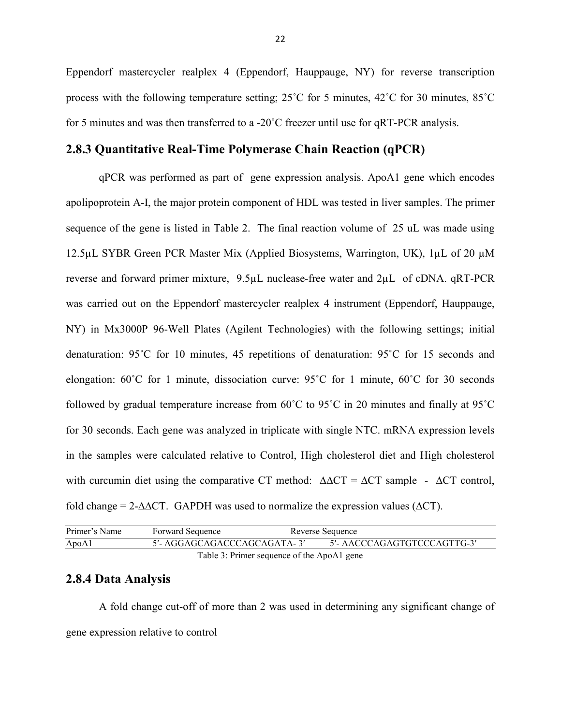Eppendorf mastercycler realplex 4 (Eppendorf, Hauppauge, NY) for reverse transcription process with the following temperature setting;  $25^{\circ}$ C for 5 minutes,  $42^{\circ}$ C for 30 minutes,  $85^{\circ}$ C for 5 minutes and was then transferred to a -20˚C freezer until use for qRT-PCR analysis.

#### **2.8.3 Quantitative Real-Time Polymerase Chain Reaction (qPCR)**

qPCR was performed as part of gene expression analysis. ApoA1 gene which encodes apolipoprotein A-I, the major protein component of HDL was tested in liver samples. The primer sequence of the gene is listed in Table 2. The final reaction volume of 25 uL was made using 12.5µL SYBR Green PCR Master Mix (Applied Biosystems, Warrington, UK), 1µL of 20 µM reverse and forward primer mixture, 9.5µL nuclease-free water and 2µL of cDNA. qRT-PCR was carried out on the Eppendorf mastercycler realplex 4 instrument (Eppendorf, Hauppauge, NY) in Mx3000P 96-Well Plates (Agilent Technologies) with the following settings; initial denaturation: 95˚C for 10 minutes, 45 repetitions of denaturation: 95˚C for 15 seconds and elongation:  $60^{\circ}$ C for 1 minute, dissociation curve:  $95^{\circ}$ C for 1 minute,  $60^{\circ}$ C for 30 seconds followed by gradual temperature increase from 60˚C to 95˚C in 20 minutes and finally at 95˚C for 30 seconds. Each gene was analyzed in triplicate with single NTC. mRNA expression levels in the samples were calculated relative to Control, High cholesterol diet and High cholesterol with curcumin diet using the comparative CT method:  $\Delta \Delta CT = \Delta CT$  sample -  $\Delta CT$  control, fold change = 2- $\triangle$  CT. GAPDH was used to normalize the expression values ( $\triangle$ CT).

| Primer's Name                              | <b>Forward Sequence</b>     | Reverse Sequence |                             |
|--------------------------------------------|-----------------------------|------------------|-----------------------------|
| ApoA1                                      | 5'- AGGAGCAGACCCAGCAGATA-3' |                  | 5'- AACCCAGAGTGTCCCAGTTG-3' |
| Table 3: Primer sequence of the ApoA1 gene |                             |                  |                             |

#### **2.8.4 Data Analysis**

A fold change cut-off of more than 2 was used in determining any significant change of gene expression relative to control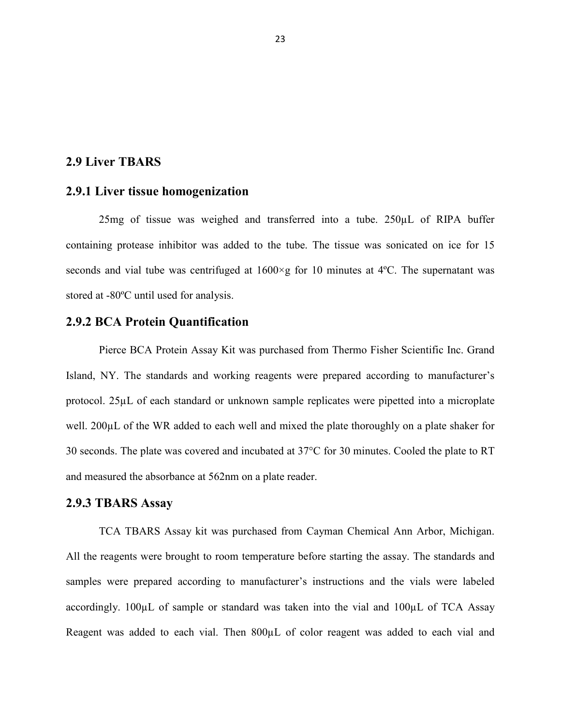### **2.9 Liver TBARS**

#### **2.9.1 Liver tissue homogenization**

25mg of tissue was weighed and transferred into a tube. 250µL of RIPA buffer containing protease inhibitor was added to the tube. The tissue was sonicated on ice for 15 seconds and vial tube was centrifuged at  $1600 \times g$  for 10 minutes at 4°C. The supernatant was stored at -80ºC until used for analysis.

#### **2.9.2 BCA Protein Quantification**

Pierce BCA Protein Assay Kit was purchased from Thermo Fisher Scientific Inc. Grand Island, NY. The standards and working reagents were prepared according to manufacturer's protocol. 25µL of each standard or unknown sample replicates were pipetted into a microplate well. 200µL of the WR added to each well and mixed the plate thoroughly on a plate shaker for 30 seconds. The plate was covered and incubated at 37°C for 30 minutes. Cooled the plate to RT and measured the absorbance at 562nm on a plate reader.

#### **2.9.3 TBARS Assay**

TCA TBARS Assay kit was purchased from Cayman Chemical Ann Arbor, Michigan. All the reagents were brought to room temperature before starting the assay. The standards and samples were prepared according to manufacturer's instructions and the vials were labeled accordingly. 100µL of sample or standard was taken into the vial and 100µL of TCA Assay Reagent was added to each vial. Then 800 $\mu$ L of color reagent was added to each vial and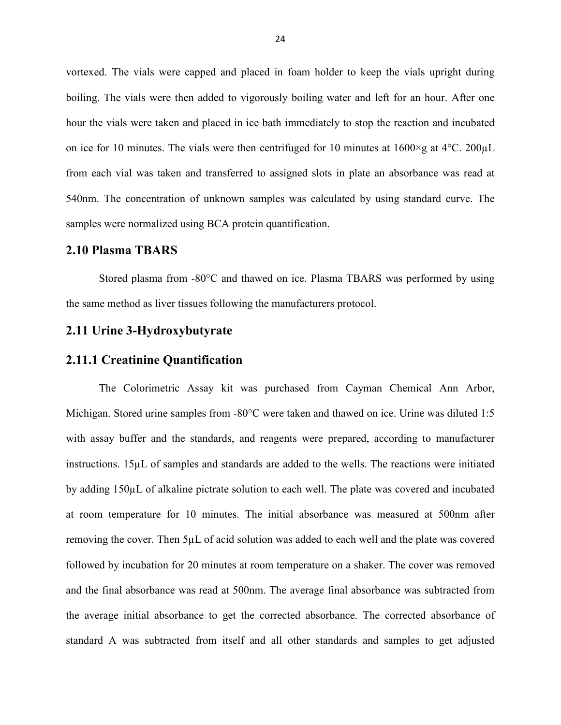vortexed. The vials were capped and placed in foam holder to keep the vials upright during boiling. The vials were then added to vigorously boiling water and left for an hour. After one hour the vials were taken and placed in ice bath immediately to stop the reaction and incubated on ice for 10 minutes. The vials were then centrifuged for 10 minutes at  $1600 \times g$  at  $4^{\circ}$ C. 200 $\mu$ L from each vial was taken and transferred to assigned slots in plate an absorbance was read at 540nm. The concentration of unknown samples was calculated by using standard curve. The samples were normalized using BCA protein quantification.

#### **2.10 Plasma TBARS**

Stored plasma from -80°C and thawed on ice. Plasma TBARS was performed by using the same method as liver tissues following the manufacturers protocol.

#### **2.11 Urine 3-Hydroxybutyrate**

#### **2.11.1 Creatinine Quantification**

The Colorimetric Assay kit was purchased from Cayman Chemical Ann Arbor, Michigan. Stored urine samples from -80°C were taken and thawed on ice. Urine was diluted 1:5 with assay buffer and the standards, and reagents were prepared, according to manufacturer instructions. 15µL of samples and standards are added to the wells. The reactions were initiated by adding 150µL of alkaline pictrate solution to each well. The plate was covered and incubated at room temperature for 10 minutes. The initial absorbance was measured at 500nm after removing the cover. Then 5µL of acid solution was added to each well and the plate was covered followed by incubation for 20 minutes at room temperature on a shaker. The cover was removed and the final absorbance was read at 500nm. The average final absorbance was subtracted from the average initial absorbance to get the corrected absorbance. The corrected absorbance of standard A was subtracted from itself and all other standards and samples to get adjusted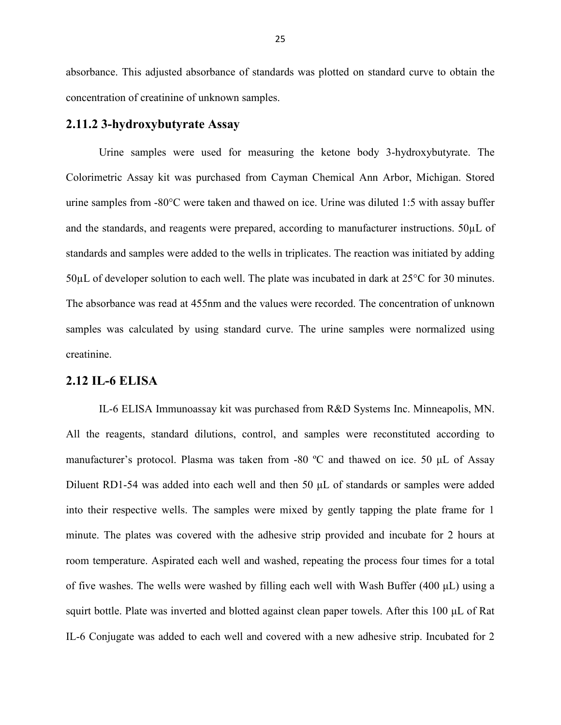absorbance. This adjusted absorbance of standards was plotted on standard curve to obtain the concentration of creatinine of unknown samples.

#### **2.11.2 3-hydroxybutyrate Assay**

Urine samples were used for measuring the ketone body 3-hydroxybutyrate. The Colorimetric Assay kit was purchased from Cayman Chemical Ann Arbor, Michigan. Stored urine samples from -80°C were taken and thawed on ice. Urine was diluted 1:5 with assay buffer and the standards, and reagents were prepared, according to manufacturer instructions. 50µL of standards and samples were added to the wells in triplicates. The reaction was initiated by adding 50µL of developer solution to each well. The plate was incubated in dark at 25°C for 30 minutes. The absorbance was read at 455nm and the values were recorded. The concentration of unknown samples was calculated by using standard curve. The urine samples were normalized using creatinine.

#### **2.12 IL-6 ELISA**

IL-6 ELISA Immunoassay kit was purchased from R&D Systems Inc. Minneapolis, MN. All the reagents, standard dilutions, control, and samples were reconstituted according to manufacturer's protocol. Plasma was taken from -80 ºC and thawed on ice. 50 μL of Assay Diluent RD1-54 was added into each well and then 50 μL of standards or samples were added into their respective wells. The samples were mixed by gently tapping the plate frame for 1 minute. The plates was covered with the adhesive strip provided and incubate for 2 hours at room temperature. Aspirated each well and washed, repeating the process four times for a total of five washes. The wells were washed by filling each well with Wash Buffer (400 μL) using a squirt bottle. Plate was inverted and blotted against clean paper towels. After this 100 μL of Rat IL-6 Conjugate was added to each well and covered with a new adhesive strip. Incubated for 2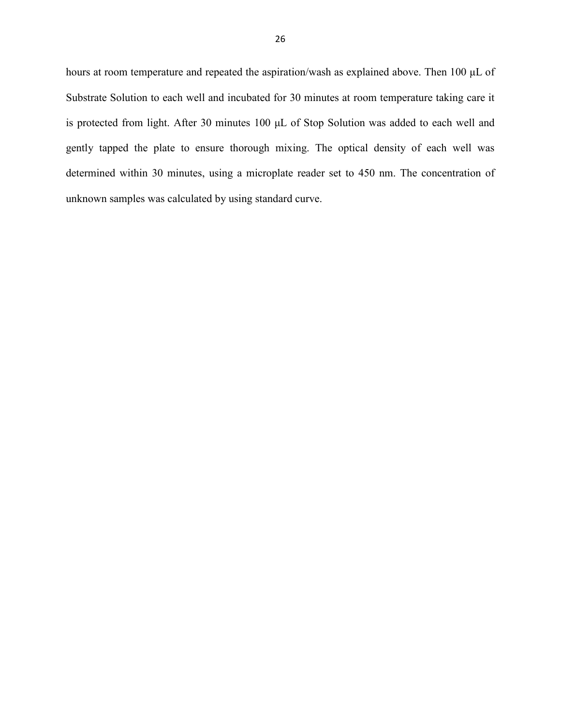hours at room temperature and repeated the aspiration/wash as explained above. Then 100 μL of Substrate Solution to each well and incubated for 30 minutes at room temperature taking care it is protected from light. After 30 minutes 100 μL of Stop Solution was added to each well and gently tapped the plate to ensure thorough mixing. The optical density of each well was determined within 30 minutes, using a microplate reader set to 450 nm. The concentration of unknown samples was calculated by using standard curve.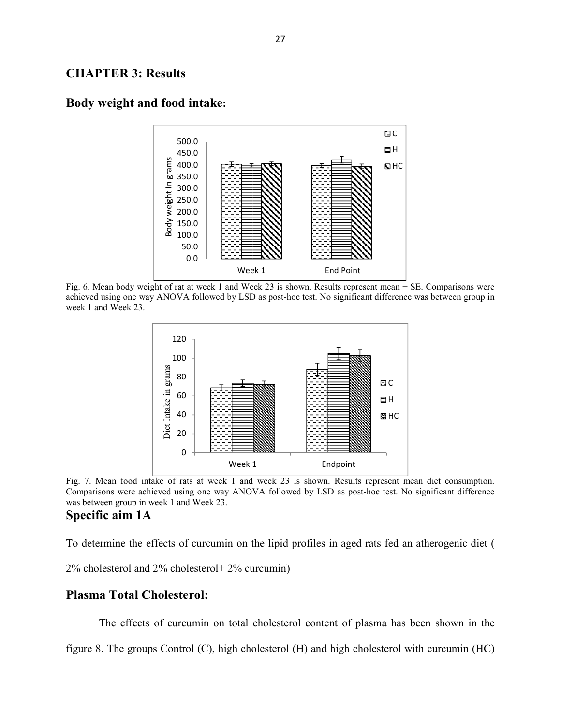### **CHAPTER 3: Results**



### **Body weight and food intake:**

Fig. 6. Mean body weight of rat at week 1 and Week 23 is shown. Results represent mean + SE. Comparisons were achieved using one way ANOVA followed by LSD as post-hoc test. No significant difference was between group in week 1 and Week 23.



Fig. 7. Mean food intake of rats at week 1 and week 23 is shown. Results represent mean diet consumption. Comparisons were achieved using one way ANOVA followed by LSD as post-hoc test. No significant difference was between group in week 1 and Week 23.

# **Specific aim 1A**

To determine the effects of curcumin on the lipid profiles in aged rats fed an atherogenic diet (

2% cholesterol and 2% cholesterol+ 2% curcumin)

### **Plasma Total Cholesterol:**

The effects of curcumin on total cholesterol content of plasma has been shown in the

figure 8. The groups Control (C), high cholesterol (H) and high cholesterol with curcumin (HC)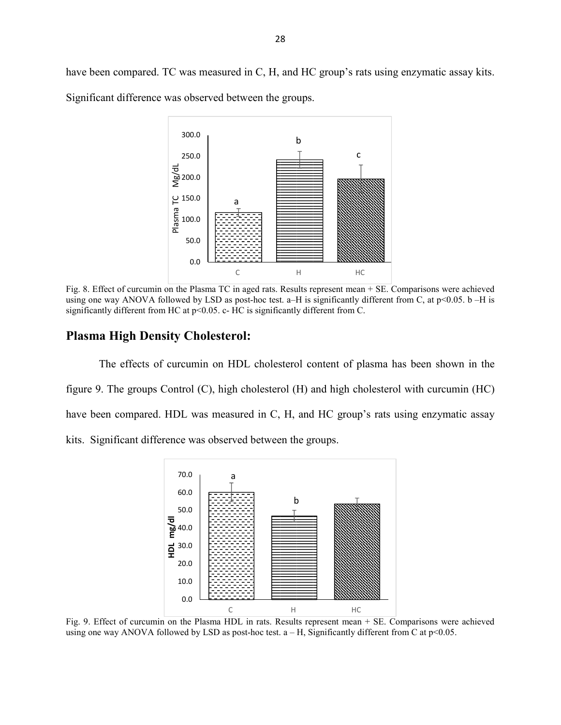have been compared. TC was measured in C, H, and HC group's rats using enzymatic assay kits. Significant difference was observed between the groups.



Fig. 8. Effect of curcumin on the Plasma TC in aged rats. Results represent mean + SE. Comparisons were achieved using one way ANOVA followed by LSD as post-hoc test. a–H is significantly different from C, at  $p<0.05$ . b –H is significantly different from HC at p<0.05. c- HC is significantly different from C.

#### **Plasma High Density Cholesterol:**

The effects of curcumin on HDL cholesterol content of plasma has been shown in the figure 9. The groups Control (C), high cholesterol (H) and high cholesterol with curcumin (HC) have been compared. HDL was measured in C, H, and HC group's rats using enzymatic assay kits. Significant difference was observed between the groups.



Fig. 9. Effect of curcumin on the Plasma HDL in rats. Results represent mean + SE. Comparisons were achieved using one way ANOVA followed by LSD as post-hoc test.  $a - H$ , Significantly different from C at  $p \le 0.05$ .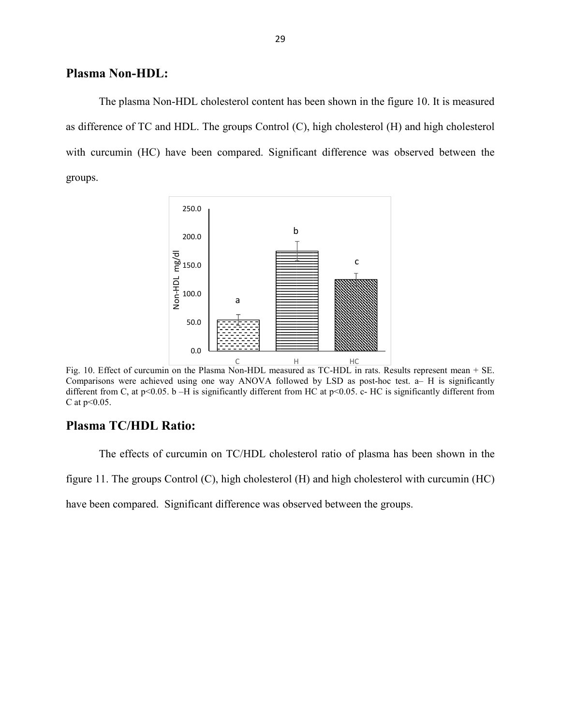#### **Plasma Non-HDL:**

The plasma Non-HDL cholesterol content has been shown in the figure 10. It is measured as difference of TC and HDL. The groups Control (C), high cholesterol (H) and high cholesterol with curcumin (HC) have been compared. Significant difference was observed between the groups.



Fig. 10. Effect of curcumin on the Plasma Non-HDL measured as TC-HDL in rats. Results represent mean + SE. Comparisons were achieved using one way ANOVA followed by LSD as post-hoc test. a– H is significantly different from C, at p<0.05. b –H is significantly different from HC at p<0.05. c- HC is significantly different from C at  $p<0.05$ .

#### **Plasma TC/HDL Ratio:**

The effects of curcumin on TC/HDL cholesterol ratio of plasma has been shown in the

figure 11. The groups Control (C), high cholesterol (H) and high cholesterol with curcumin (HC)

have been compared. Significant difference was observed between the groups.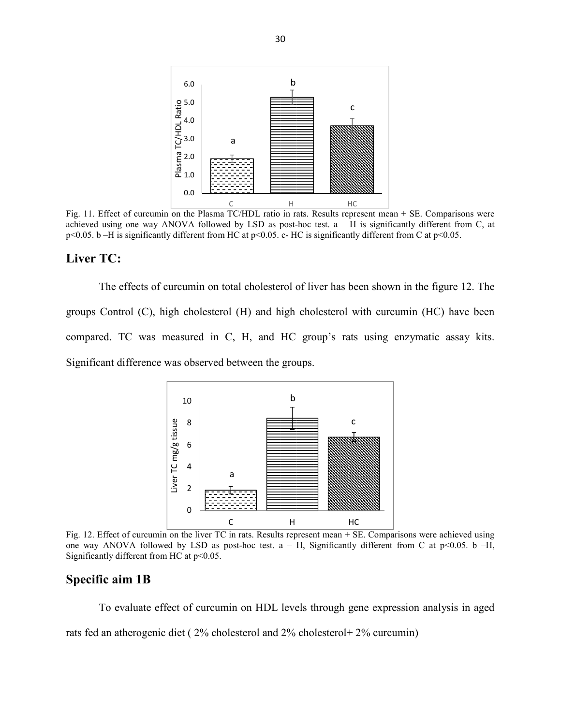

Fig. 11. Effect of curcumin on the Plasma TC/HDL ratio in rats. Results represent mean + SE. Comparisons were achieved using one way ANOVA followed by LSD as post-hoc test.  $a - H$  is significantly different from C, at p<0.05. b –H is significantly different from HC at p<0.05. c- HC is significantly different from C at p<0.05.

### **Liver TC:**

The effects of curcumin on total cholesterol of liver has been shown in the figure 12. The groups Control (C), high cholesterol (H) and high cholesterol with curcumin (HC) have been compared. TC was measured in C, H, and HC group's rats using enzymatic assay kits. Significant difference was observed between the groups.



Fig. 12. Effect of curcumin on the liver TC in rats. Results represent mean + SE. Comparisons were achieved using one way ANOVA followed by LSD as post-hoc test.  $a - H$ , Significantly different from C at p<0.05. b -H, Significantly different from HC at  $p<0.05$ .

#### **Specific aim 1B**

To evaluate effect of curcumin on HDL levels through gene expression analysis in aged rats fed an atherogenic diet ( 2% cholesterol and 2% cholesterol+ 2% curcumin)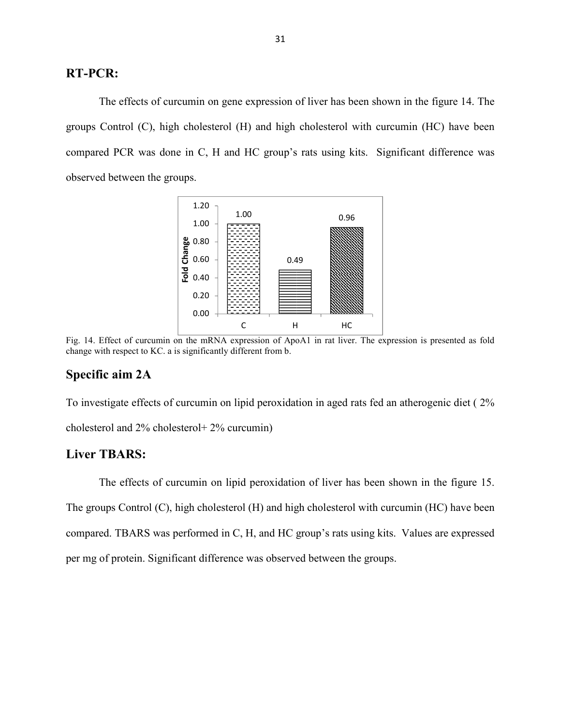### **RT-PCR:**

The effects of curcumin on gene expression of liver has been shown in the figure 14. The groups Control (C), high cholesterol (H) and high cholesterol with curcumin (HC) have been compared PCR was done in C, H and HC group's rats using kits. Significant difference was observed between the groups.



Fig. 14. Effect of curcumin on the mRNA expression of ApoA1 in rat liver. The expression is presented as fold change with respect to KC. a is significantly different from b.

#### **Specific aim 2A**

To investigate effects of curcumin on lipid peroxidation in aged rats fed an atherogenic diet ( 2% cholesterol and 2% cholesterol+ 2% curcumin)

# **Liver TBARS:**

The effects of curcumin on lipid peroxidation of liver has been shown in the figure 15. The groups Control (C), high cholesterol (H) and high cholesterol with curcumin (HC) have been compared. TBARS was performed in C, H, and HC group's rats using kits. Values are expressed per mg of protein. Significant difference was observed between the groups.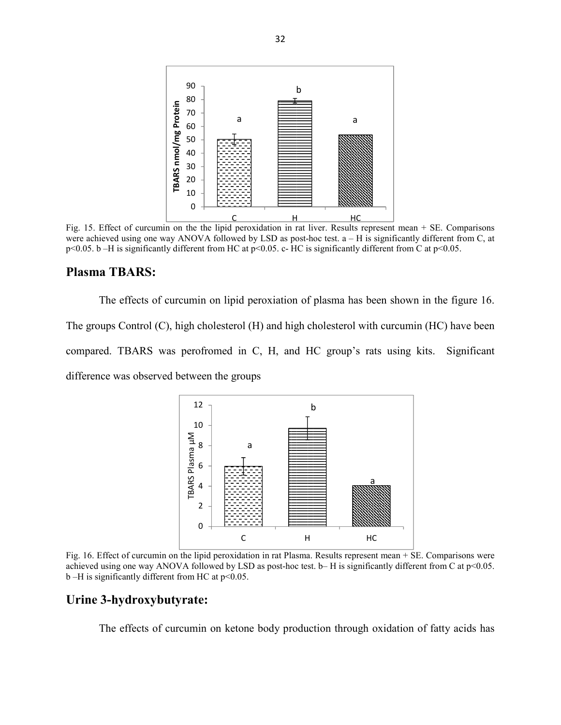

Fig. 15. Effect of curcumin on the the lipid peroxidation in rat liver. Results represent mean + SE. Comparisons were achieved using one way ANOVA followed by LSD as post-hoc test.  $a - H$  is significantly different from C, at p<0.05. b –H is significantly different from HC at p<0.05. c- HC is significantly different from C at p<0.05.

#### **Plasma TBARS:**

The effects of curcumin on lipid peroxiation of plasma has been shown in the figure 16. The groups Control (C), high cholesterol (H) and high cholesterol with curcumin (HC) have been compared. TBARS was perofromed in C, H, and HC group's rats using kits. Significant difference was observed between the groups



Fig. 16. Effect of curcumin on the lipid peroxidation in rat Plasma. Results represent mean + SE. Comparisons were achieved using one way ANOVA followed by LSD as post-hoc test.  $b- H$  is significantly different from C at  $p<0.05$ .  $b$  –H is significantly different from HC at  $p$  < 0.05.

#### **Urine 3-hydroxybutyrate:**

The effects of curcumin on ketone body production through oxidation of fatty acids has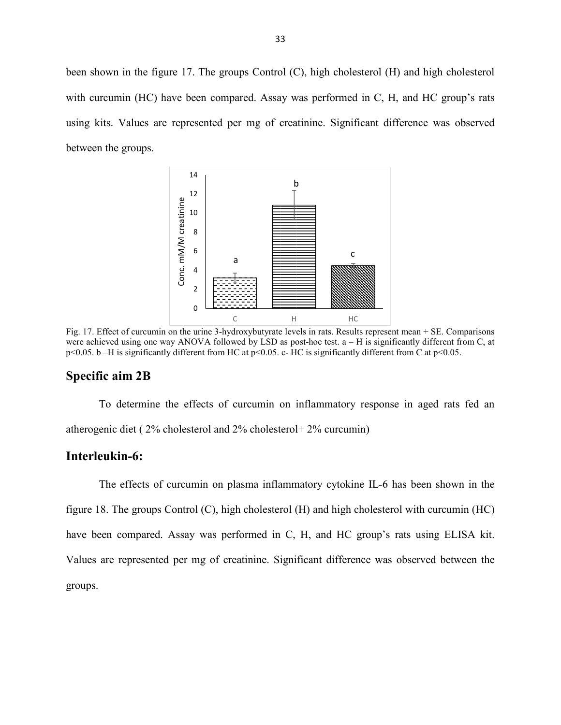been shown in the figure 17. The groups Control (C), high cholesterol (H) and high cholesterol with curcumin (HC) have been compared. Assay was performed in C, H, and HC group's rats using kits. Values are represented per mg of creatinine. Significant difference was observed between the groups.



Fig. 17. Effect of curcumin on the urine 3-hydroxybutyrate levels in rats. Results represent mean + SE. Comparisons were achieved using one way ANOVA followed by LSD as post-hoc test.  $a - H$  is significantly different from C, at p<0.05. b –H is significantly different from HC at p<0.05. c- HC is significantly different from C at p<0.05.

#### **Specific aim 2B**

To determine the effects of curcumin on inflammatory response in aged rats fed an atherogenic diet ( 2% cholesterol and 2% cholesterol+ 2% curcumin)

#### **Interleukin-6:**

The effects of curcumin on plasma inflammatory cytokine IL-6 has been shown in the figure 18. The groups Control (C), high cholesterol (H) and high cholesterol with curcumin (HC) have been compared. Assay was performed in C, H, and HC group's rats using ELISA kit. Values are represented per mg of creatinine. Significant difference was observed between the groups.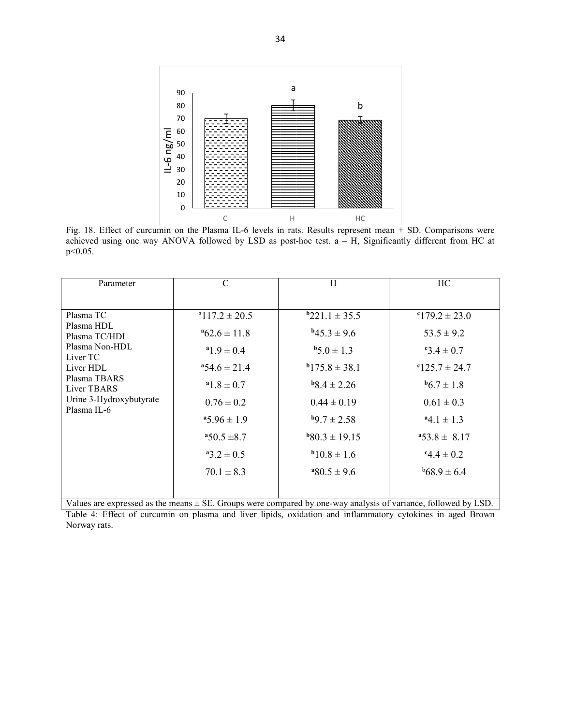

Fig. 18. Effect of curcumin on the Plasma IL-6 levels in rats. Results represent mean + SD. Comparisons were achieved using one way ANOVA followed by LSD as post-hoc test. a – H, Significantly different from HC at p<0.05.

| Parameter               | $\mathsf{C}$             | H                  | HC.                |
|-------------------------|--------------------------|--------------------|--------------------|
| Plasma TC               | $^{\circ}117.2 \pm 20.5$ | $b221.1 \pm 35.5$  | $179.2 \pm 23.0$   |
| Plasma HDL              | $^{4}62.6 \pm 11.8$      | $^{b}45.3 \pm 9.6$ | $53.5 \pm 9.2$     |
| Plasma TC/HDL           | $^{a}1.9 \pm 0.4$        | $b5.0 \pm 1.3$     | $8.4 \pm 0.7$      |
| Plasma Non-HDL          | $454.6 \pm 21.4$         | $b$ 175.8 ± 38.1   | $125.7 \pm 24.7$   |
| Liver TC                | $^{\rm a}1.8 \pm 0.7$    | $b8.4 \pm 2.26$    | $^{b}6.7 \pm 1.8$  |
| Liver HDL               | $0.76 \pm 0.2$           | $0.44 \pm 0.19$    | $0.61 \pm 0.3$     |
| Plasma TBARS            | $45.96 \pm 1.9$          | $^{b}9.7 \pm 2.58$ | $^{a}4.1 \pm 1.3$  |
| Liver TBARS             | $*50.5 \pm 8.7$          | $b80.3 \pm 19.15$  | $453.8 \pm 8.17$   |
| Urine 3-Hydroxybutyrate | $a_3.2 \pm 0.5$          | $b_{10.8} \pm 1.6$ | $.44 \pm 0.2$      |
| Plasma IL-6             | $70.1 \pm 8.3$           | $^{480.5 \pm 9.6}$ | $^{b}68.9 \pm 6.4$ |

Values are expressed as the means ± SE. Groups were compared by one-way analysis of variance, followed by LSD. Table 4: Effect of curcumin on plasma and liver lipids, oxidation and inflammatory cytokines in aged Brown Norway rats.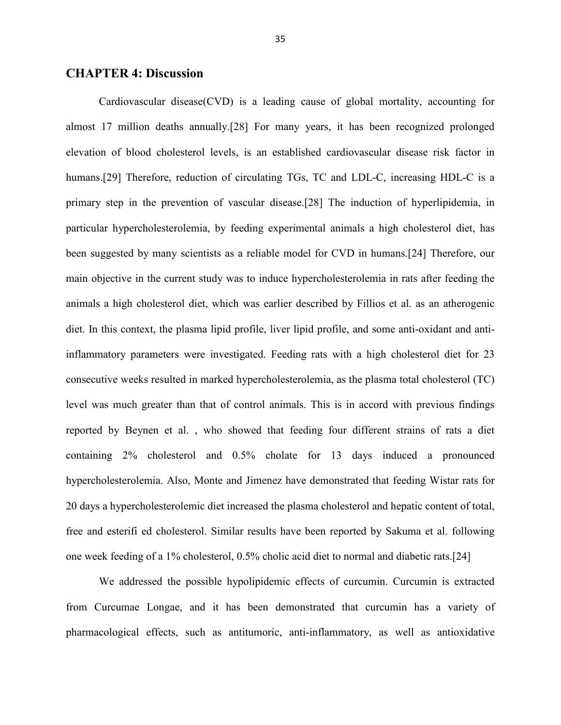#### **CHAPTER 4: Discussion**

Cardiovascular disease(CVD) is a leading cause of global mortality, accounting for almost 17 million deaths annually.[28] For many years, it has been recognized prolonged elevation of blood cholesterol levels, is an established cardiovascular disease risk factor in humans.[29] Therefore, reduction of circulating TGs, TC and LDL-C, increasing HDL-C is a primary step in the prevention of vascular disease.[28] The induction of hyperlipidemia, in particular hypercholesterolemia, by feeding experimental animals a high cholesterol diet, has been suggested by many scientists as a reliable model for CVD in humans.[24] Therefore, our main objective in the current study was to induce hypercholesterolemia in rats after feeding the animals a high cholesterol diet, which was earlier described by Fillios et al. as an atherogenic diet. In this context, the plasma lipid profile, liver lipid profile, and some anti-oxidant and antiinflammatory parameters were investigated. Feeding rats with a high cholesterol diet for 23 consecutive weeks resulted in marked hypercholesterolemia, as the plasma total cholesterol (TC) level was much greater than that of control animals. This is in accord with previous findings reported by Beynen et al. , who showed that feeding four different strains of rats a diet containing 2% cholesterol and 0.5% cholate for 13 days induced a pronounced hypercholesterolemia. Also, Monte and Jimenez have demonstrated that feeding Wistar rats for 20 days a hypercholesterolemic diet increased the plasma cholesterol and hepatic content of total, free and esterifi ed cholesterol. Similar results have been reported by Sakuma et al. following one week feeding of a 1% cholesterol, 0.5% cholic acid diet to normal and diabetic rats.[24]

We addressed the possible hypolipidemic effects of curcumin. Curcumin is extracted from Curcumae Longae, and it has been demonstrated that curcumin has a variety of pharmacological effects, such as antitumoric, anti-inflammatory, as well as antioxidative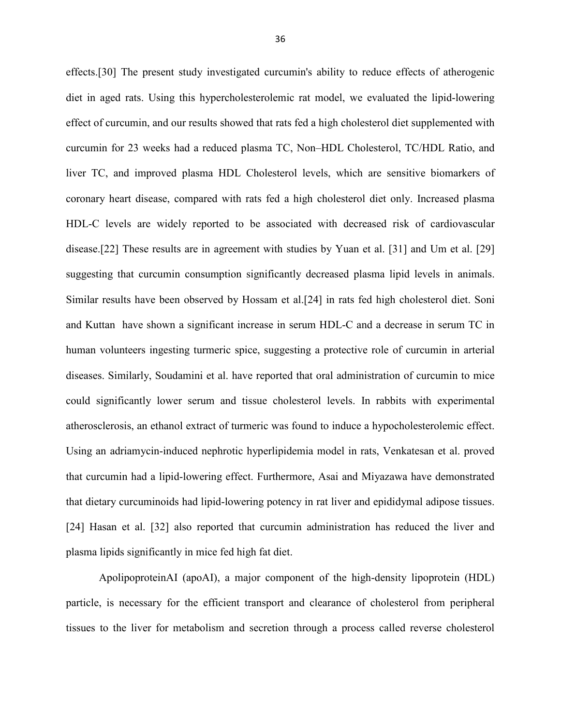effects.[30] The present study investigated curcumin's ability to reduce effects of atherogenic diet in aged rats. Using this hypercholesterolemic rat model, we evaluated the lipid-lowering effect of curcumin, and our results showed that rats fed a high cholesterol diet supplemented with curcumin for 23 weeks had a reduced plasma TC, Non–HDL Cholesterol, TC/HDL Ratio, and liver TC, and improved plasma HDL Cholesterol levels, which are sensitive biomarkers of coronary heart disease, compared with rats fed a high cholesterol diet only. Increased plasma HDL-C levels are widely reported to be associated with decreased risk of cardiovascular disease.[22] These results are in agreement with studies by Yuan et al. [31] and Um et al. [29] suggesting that curcumin consumption significantly decreased plasma lipid levels in animals. Similar results have been observed by Hossam et al.[24] in rats fed high cholesterol diet. Soni and Kuttan have shown a significant increase in serum HDL-C and a decrease in serum TC in human volunteers ingesting turmeric spice, suggesting a protective role of curcumin in arterial diseases. Similarly, Soudamini et al. have reported that oral administration of curcumin to mice could significantly lower serum and tissue cholesterol levels. In rabbits with experimental atherosclerosis, an ethanol extract of turmeric was found to induce a hypocholesterolemic effect. Using an adriamycin-induced nephrotic hyperlipidemia model in rats, Venkatesan et al. proved that curcumin had a lipid-lowering effect. Furthermore, Asai and Miyazawa have demonstrated that dietary curcuminoids had lipid-lowering potency in rat liver and epididymal adipose tissues. [24] Hasan et al. [32] also reported that curcumin administration has reduced the liver and plasma lipids significantly in mice fed high fat diet.

ApolipoproteinAI (apoAI), a major component of the high-density lipoprotein (HDL) particle, is necessary for the efficient transport and clearance of cholesterol from peripheral tissues to the liver for metabolism and secretion through a process called reverse cholesterol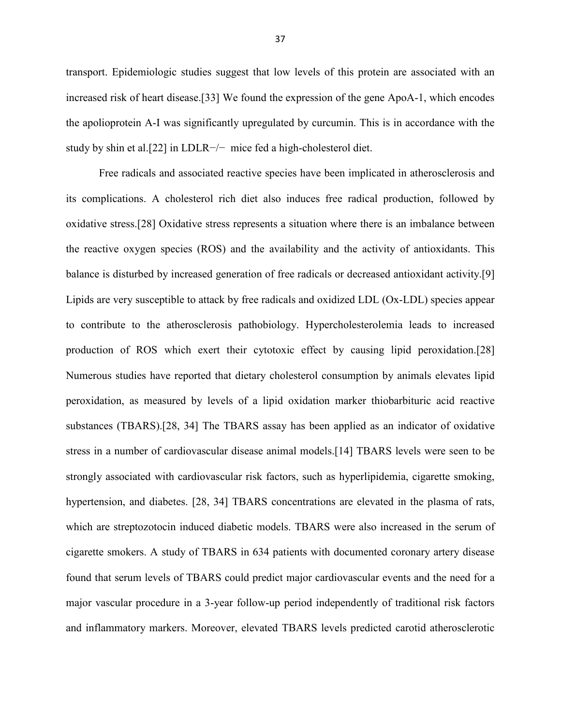transport. Epidemiologic studies suggest that low levels of this protein are associated with an increased risk of heart disease.[33] We found the expression of the gene ApoA-1, which encodes the apolioprotein A-I was significantly upregulated by curcumin. This is in accordance with the study by shin et al.[22] in LDLR−/− mice fed a high-cholesterol diet.

Free radicals and associated reactive species have been implicated in atherosclerosis and its complications. A cholesterol rich diet also induces free radical production, followed by oxidative stress.[28] Oxidative stress represents a situation where there is an imbalance between the reactive oxygen species (ROS) and the availability and the activity of antioxidants. This balance is disturbed by increased generation of free radicals or decreased antioxidant activity.[9] Lipids are very susceptible to attack by free radicals and oxidized LDL (Ox-LDL) species appear to contribute to the atherosclerosis pathobiology. Hypercholesterolemia leads to increased production of ROS which exert their cytotoxic effect by causing lipid peroxidation.[28] Numerous studies have reported that dietary cholesterol consumption by animals elevates lipid peroxidation, as measured by levels of a lipid oxidation marker thiobarbituric acid reactive substances (TBARS).[28, 34] The TBARS assay has been applied as an indicator of oxidative stress in a number of cardiovascular disease animal models.[14] TBARS levels were seen to be strongly associated with cardiovascular risk factors, such as hyperlipidemia, cigarette smoking, hypertension, and diabetes. [28, 34] TBARS concentrations are elevated in the plasma of rats, which are streptozotocin induced diabetic models. TBARS were also increased in the serum of cigarette smokers. A study of TBARS in 634 patients with documented coronary artery disease found that serum levels of TBARS could predict major cardiovascular events and the need for a major vascular procedure in a 3-year follow-up period independently of traditional risk factors and inflammatory markers. Moreover, elevated TBARS levels predicted carotid atherosclerotic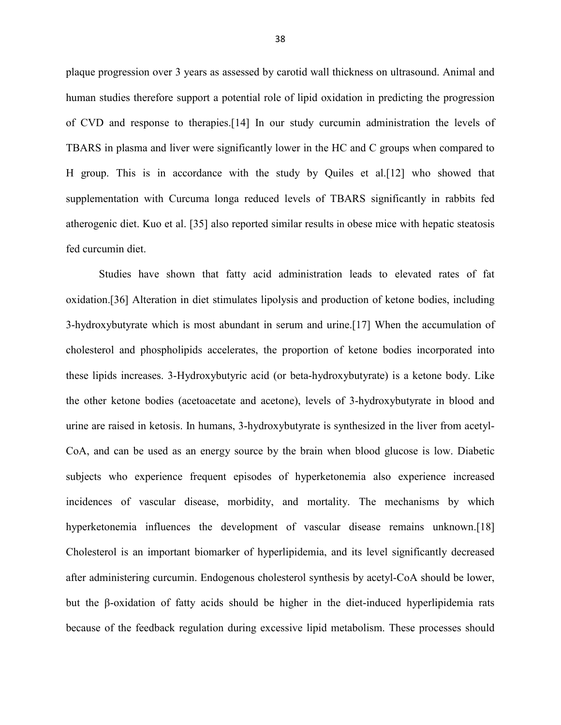plaque progression over 3 years as assessed by carotid wall thickness on ultrasound. Animal and human studies therefore support a potential role of lipid oxidation in predicting the progression of CVD and response to therapies.[14] In our study curcumin administration the levels of TBARS in plasma and liver were significantly lower in the HC and C groups when compared to H group. This is in accordance with the study by Quiles et al.[12] who showed that supplementation with Curcuma longa reduced levels of TBARS significantly in rabbits fed atherogenic diet. Kuo et al. [35] also reported similar results in obese mice with hepatic steatosis fed curcumin diet.

Studies have shown that fatty acid administration leads to elevated rates of fat oxidation.[36] Alteration in diet stimulates lipolysis and production of ketone bodies, including 3-hydroxybutyrate which is most abundant in serum and urine.[17] When the accumulation of cholesterol and phospholipids accelerates, the proportion of ketone bodies incorporated into these lipids increases. 3-Hydroxybutyric acid (or beta-hydroxybutyrate) is a ketone body. Like the other ketone bodies (acetoacetate and acetone), levels of 3-hydroxybutyrate in blood and urine are raised in ketosis. In humans, 3-hydroxybutyrate is synthesized in the liver from acetyl-CoA, and can be used as an energy source by the brain when blood glucose is low. Diabetic subjects who experience frequent episodes of hyperketonemia also experience increased incidences of vascular disease, morbidity, and mortality. The mechanisms by which hyperketonemia influences the development of vascular disease remains unknown.<sup>[18]</sup> Cholesterol is an important biomarker of hyperlipidemia, and its level significantly decreased after administering curcumin. Endogenous cholesterol synthesis by acetyl-CoA should be lower, but the β-oxidation of fatty acids should be higher in the diet-induced hyperlipidemia rats because of the feedback regulation during excessive lipid metabolism. These processes should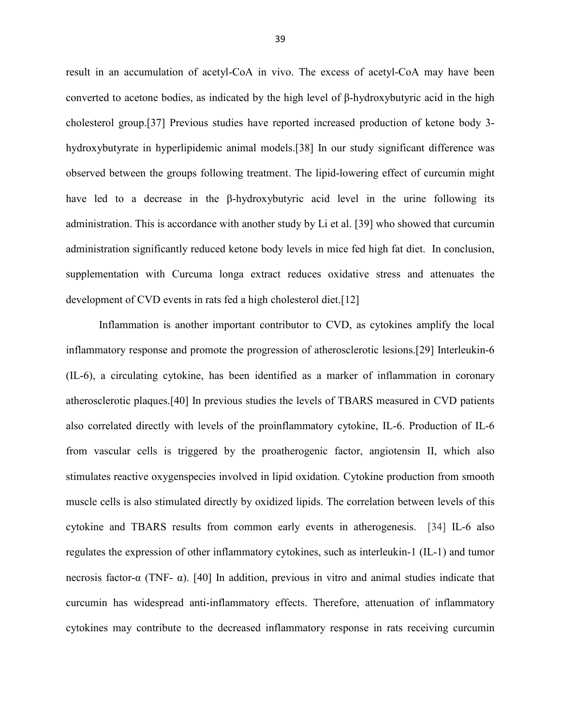result in an accumulation of acetyl-CoA in vivo. The excess of acetyl-CoA may have been converted to acetone bodies, as indicated by the high level of β-hydroxybutyric acid in the high cholesterol group.[37] Previous studies have reported increased production of ketone body 3 hydroxybutyrate in hyperlipidemic animal models.[38] In our study significant difference was observed between the groups following treatment. The lipid-lowering effect of curcumin might have led to a decrease in the β-hydroxybutyric acid level in the urine following its administration. This is accordance with another study by Li et al. [39] who showed that curcumin administration significantly reduced ketone body levels in mice fed high fat diet. In conclusion, supplementation with Curcuma longa extract reduces oxidative stress and attenuates the development of CVD events in rats fed a high cholesterol diet.[12]

Inflammation is another important contributor to CVD, as cytokines amplify the local inflammatory response and promote the progression of atherosclerotic lesions.[29] Interleukin-6 (IL-6), a circulating cytokine, has been identified as a marker of inflammation in coronary atherosclerotic plaques.[40] In previous studies the levels of TBARS measured in CVD patients also correlated directly with levels of the proinflammatory cytokine, IL-6. Production of IL-6 from vascular cells is triggered by the proatherogenic factor, angiotensin II, which also stimulates reactive oxygenspecies involved in lipid oxidation. Cytokine production from smooth muscle cells is also stimulated directly by oxidized lipids. The correlation between levels of this cytokine and TBARS results from common early events in atherogenesis. [34] IL-6 also regulates the expression of other inflammatory cytokines, such as interleukin-1 (IL-1) and tumor necrosis factor-α (TNF- α). [40] In addition, previous in vitro and animal studies indicate that curcumin has widespread anti-inflammatory effects. Therefore, attenuation of inflammatory cytokines may contribute to the decreased inflammatory response in rats receiving curcumin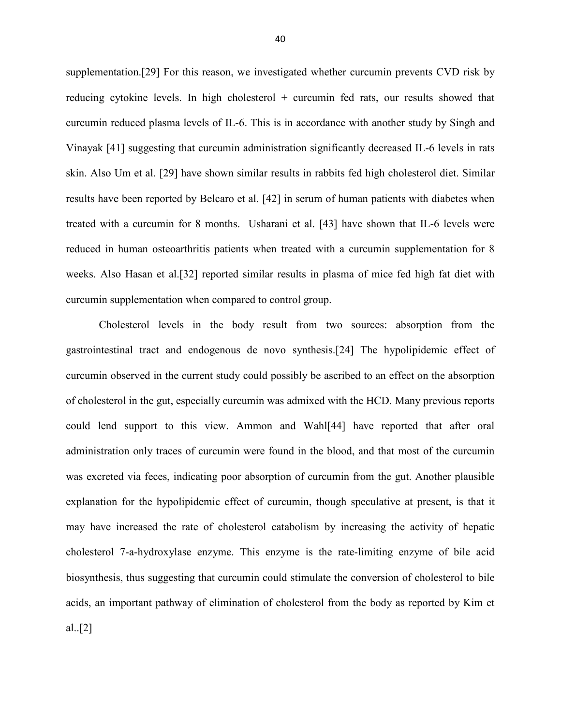supplementation.[29] For this reason, we investigated whether curcumin prevents CVD risk by reducing cytokine levels. In high cholesterol + curcumin fed rats, our results showed that curcumin reduced plasma levels of IL-6. This is in accordance with another study by Singh and Vinayak [41] suggesting that curcumin administration significantly decreased IL-6 levels in rats skin. Also Um et al. [29] have shown similar results in rabbits fed high cholesterol diet. Similar results have been reported by Belcaro et al. [42] in serum of human patients with diabetes when treated with a curcumin for 8 months. Usharani et al. [43] have shown that IL-6 levels were reduced in human osteoarthritis patients when treated with a curcumin supplementation for 8 weeks. Also Hasan et al.[32] reported similar results in plasma of mice fed high fat diet with curcumin supplementation when compared to control group.

Cholesterol levels in the body result from two sources: absorption from the gastrointestinal tract and endogenous de novo synthesis.[24] The hypolipidemic effect of curcumin observed in the current study could possibly be ascribed to an effect on the absorption of cholesterol in the gut, especially curcumin was admixed with the HCD. Many previous reports could lend support to this view. Ammon and Wahl[44] have reported that after oral administration only traces of curcumin were found in the blood, and that most of the curcumin was excreted via feces, indicating poor absorption of curcumin from the gut. Another plausible explanation for the hypolipidemic effect of curcumin, though speculative at present, is that it may have increased the rate of cholesterol catabolism by increasing the activity of hepatic cholesterol 7-a-hydroxylase enzyme. This enzyme is the rate-limiting enzyme of bile acid biosynthesis, thus suggesting that curcumin could stimulate the conversion of cholesterol to bile acids, an important pathway of elimination of cholesterol from the body as reported by Kim et al..[2]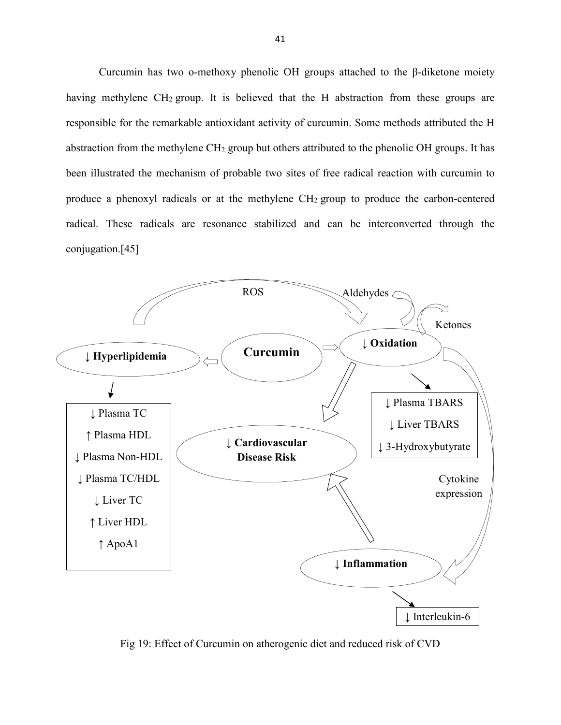Curcumin has two o-methoxy phenolic OH groups attached to the β-diketone moiety having methylene CH<sub>2</sub> group. It is believed that the H abstraction from these groups are responsible for the remarkable antioxidant activity of curcumin. Some methods attributed the H abstraction from the methylene CH2 group but others attributed to the phenolic OH groups. It has been illustrated the mechanism of probable two sites of free radical reaction with curcumin to produce a phenoxyl radicals or at the methylene CH2 group to produce the carbon-centered radical. These radicals are resonance stabilized and can be interconverted through the conjugation.[45]



Fig 19: Effect of Curcumin on atherogenic diet and reduced risk of CVD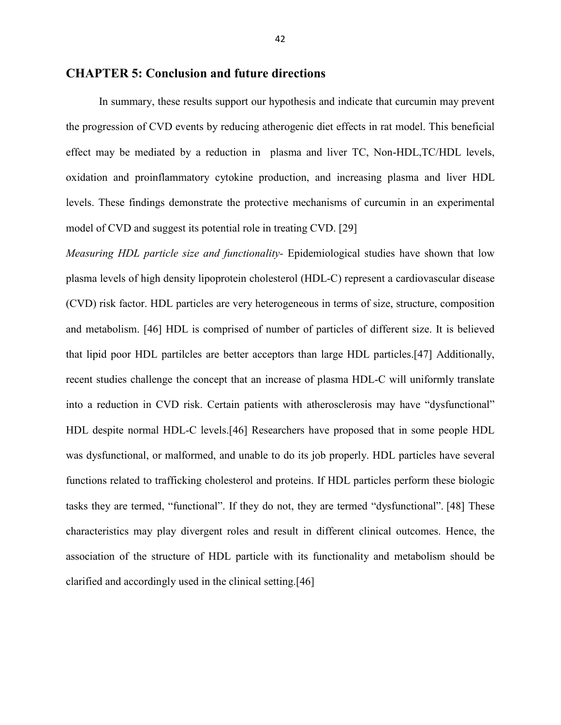#### **CHAPTER 5: Conclusion and future directions**

In summary, these results support our hypothesis and indicate that curcumin may prevent the progression of CVD events by reducing atherogenic diet effects in rat model. This beneficial effect may be mediated by a reduction in plasma and liver TC, Non-HDL,TC/HDL levels, oxidation and proinflammatory cytokine production, and increasing plasma and liver HDL levels. These findings demonstrate the protective mechanisms of curcumin in an experimental model of CVD and suggest its potential role in treating CVD. [29]

*Measuring HDL particle size and functionality-* Epidemiological studies have shown that low plasma levels of high density lipoprotein cholesterol (HDL-C) represent a cardiovascular disease (CVD) risk factor. HDL particles are very heterogeneous in terms of size, structure, composition and metabolism. [46] HDL is comprised of number of particles of different size. It is believed that lipid poor HDL partilcles are better acceptors than large HDL particles.[47] Additionally, recent studies challenge the concept that an increase of plasma HDL-C will uniformly translate into a reduction in CVD risk. Certain patients with atherosclerosis may have "dysfunctional" HDL despite normal HDL-C levels.[46] Researchers have proposed that in some people HDL was dysfunctional, or malformed, and unable to do its job properly. HDL particles have several functions related to trafficking cholesterol and proteins. If HDL particles perform these biologic tasks they are termed, "functional". If they do not, they are termed "dysfunctional". [48] These characteristics may play divergent roles and result in different clinical outcomes. Hence, the association of the structure of HDL particle with its functionality and metabolism should be clarified and accordingly used in the clinical setting.[46]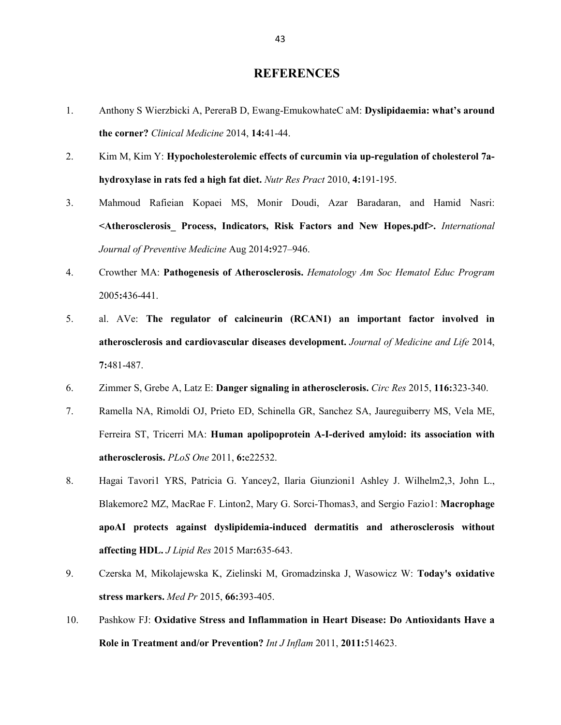#### **REFERENCES**

- 1. Anthony S Wierzbicki A, PereraB D, Ewang-EmukowhateC aM: **Dyslipidaemia: what's around the corner?** *Clinical Medicine* 2014, **14:**41-44.
- 2. Kim M, Kim Y: **Hypocholesterolemic effects of curcumin via up-regulation of cholesterol 7ahydroxylase in rats fed a high fat diet.** *Nutr Res Pract* 2010, **4:**191-195.
- 3. Mahmoud Rafieian Kopaei MS, Monir Doudi, Azar Baradaran, and Hamid Nasri: **<Atherosclerosis\_ Process, Indicators, Risk Factors and New Hopes.pdf>.** *International Journal of Preventive Medicine* Aug 2014**:**927–946.
- 4. Crowther MA: **Pathogenesis of Atherosclerosis.** *Hematology Am Soc Hematol Educ Program*  2005**:**436-441.
- 5. al. AVe: **The regulator of calcineurin (RCAN1) an important factor involved in atherosclerosis and cardiovascular diseases development.** *Journal of Medicine and Life* 2014, **7:**481-487.
- 6. Zimmer S, Grebe A, Latz E: **Danger signaling in atherosclerosis.** *Circ Res* 2015, **116:**323-340.
- 7. Ramella NA, Rimoldi OJ, Prieto ED, Schinella GR, Sanchez SA, Jaureguiberry MS, Vela ME, Ferreira ST, Tricerri MA: **Human apolipoprotein A-I-derived amyloid: its association with atherosclerosis.** *PLoS One* 2011, **6:**e22532.
- 8. Hagai Tavori1 YRS, Patricia G. Yancey2, Ilaria Giunzioni1 Ashley J. Wilhelm2,3, John L., Blakemore2 MZ, MacRae F. Linton2, Mary G. Sorci-Thomas3, and Sergio Fazio1: **Macrophage apoAI protects against dyslipidemia-induced dermatitis and atherosclerosis without affecting HDL.** *J Lipid Res* 2015 Mar**:**635-643.
- 9. Czerska M, Mikolajewska K, Zielinski M, Gromadzinska J, Wasowicz W: **Today's oxidative stress markers.** *Med Pr* 2015, **66:**393-405.
- 10. Pashkow FJ: **Oxidative Stress and Inflammation in Heart Disease: Do Antioxidants Have a Role in Treatment and/or Prevention?** *Int J Inflam* 2011, **2011:**514623.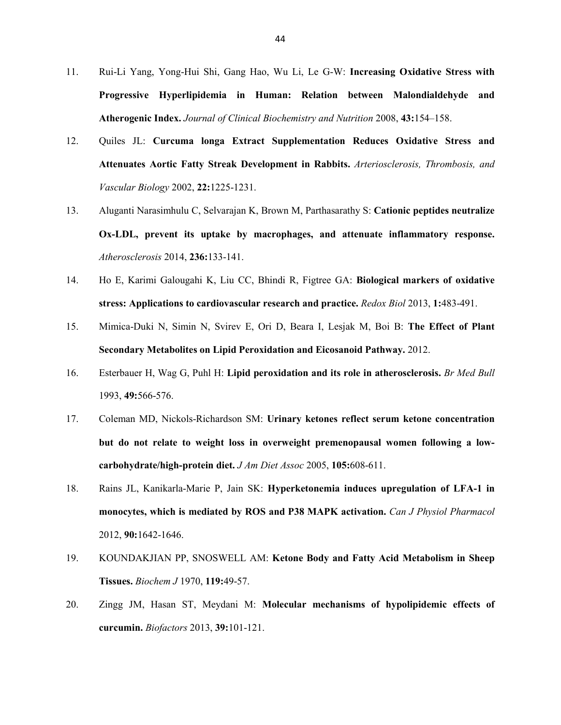- 11. Rui-Li Yang, Yong-Hui Shi, Gang Hao, Wu Li, Le G-W: **Increasing Oxidative Stress with Progressive Hyperlipidemia in Human: Relation between Malondialdehyde and Atherogenic Index.** *Journal of Clinical Biochemistry and Nutrition* 2008, **43:**154–158.
- 12. Quiles JL: **Curcuma longa Extract Supplementation Reduces Oxidative Stress and Attenuates Aortic Fatty Streak Development in Rabbits.** *Arteriosclerosis, Thrombosis, and Vascular Biology* 2002, **22:**1225-1231.
- 13. Aluganti Narasimhulu C, Selvarajan K, Brown M, Parthasarathy S: **Cationic peptides neutralize Ox-LDL, prevent its uptake by macrophages, and attenuate inflammatory response.** *Atherosclerosis* 2014, **236:**133-141.
- 14. Ho E, Karimi Galougahi K, Liu CC, Bhindi R, Figtree GA: **Biological markers of oxidative stress: Applications to cardiovascular research and practice.** *Redox Biol* 2013, **1:**483-491.
- 15. Mimica-Duki N, Simin N, Svirev E, Ori D, Beara I, Lesjak M, Boi B: **The Effect of Plant Secondary Metabolites on Lipid Peroxidation and Eicosanoid Pathway.** 2012.
- 16. Esterbauer H, Wag G, Puhl H: **Lipid peroxidation and its role in atherosclerosis.** *Br Med Bull*  1993, **49:**566-576.
- 17. Coleman MD, Nickols-Richardson SM: **Urinary ketones reflect serum ketone concentration but do not relate to weight loss in overweight premenopausal women following a lowcarbohydrate/high-protein diet.** *J Am Diet Assoc* 2005, **105:**608-611.
- 18. Rains JL, Kanikarla-Marie P, Jain SK: **Hyperketonemia induces upregulation of LFA-1 in monocytes, which is mediated by ROS and P38 MAPK activation.** *Can J Physiol Pharmacol*  2012, **90:**1642-1646.
- 19. KOUNDAKJIAN PP, SNOSWELL AM: **Ketone Body and Fatty Acid Metabolism in Sheep Tissues.** *Biochem J* 1970, **119:**49-57.
- 20. Zingg JM, Hasan ST, Meydani M: **Molecular mechanisms of hypolipidemic effects of curcumin.** *Biofactors* 2013, **39:**101-121.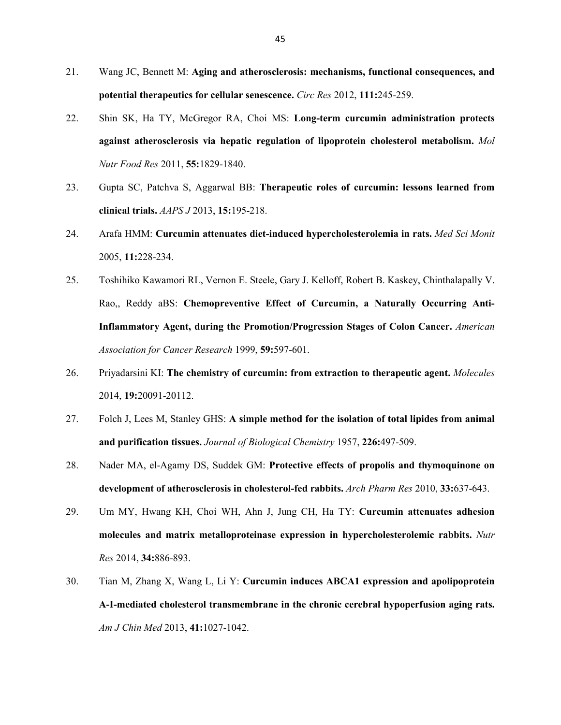- 21. Wang JC, Bennett M: **Aging and atherosclerosis: mechanisms, functional consequences, and potential therapeutics for cellular senescence.** *Circ Res* 2012, **111:**245-259.
- 22. Shin SK, Ha TY, McGregor RA, Choi MS: **Long-term curcumin administration protects against atherosclerosis via hepatic regulation of lipoprotein cholesterol metabolism.** *Mol Nutr Food Res* 2011, **55:**1829-1840.
- 23. Gupta SC, Patchva S, Aggarwal BB: **Therapeutic roles of curcumin: lessons learned from clinical trials.** *AAPS J* 2013, **15:**195-218.
- 24. Arafa HMM: **Curcumin attenuates diet-induced hypercholesterolemia in rats.** *Med Sci Monit*  2005, **11:**228-234.
- 25. Toshihiko Kawamori RL, Vernon E. Steele, Gary J. Kelloff, Robert B. Kaskey, Chinthalapally V. Rao,, Reddy aBS: **Chemopreventive Effect of Curcumin, a Naturally Occurring Anti-Inflammatory Agent, during the Promotion/Progression Stages of Colon Cancer.** *American Association for Cancer Research* 1999, **59:**597-601.
- 26. Priyadarsini KI: **The chemistry of curcumin: from extraction to therapeutic agent.** *Molecules*  2014, **19:**20091-20112.
- 27. Folch J, Lees M, Stanley GHS: **A simple method for the isolation of total lipides from animal and purification tissues.** *Journal of Biological Chemistry* 1957, **226:**497-509.
- 28. Nader MA, el-Agamy DS, Suddek GM: **Protective effects of propolis and thymoquinone on development of atherosclerosis in cholesterol-fed rabbits.** *Arch Pharm Res* 2010, **33:**637-643.
- 29. Um MY, Hwang KH, Choi WH, Ahn J, Jung CH, Ha TY: **Curcumin attenuates adhesion molecules and matrix metalloproteinase expression in hypercholesterolemic rabbits.** *Nutr Res* 2014, **34:**886-893.
- 30. Tian M, Zhang X, Wang L, Li Y: **Curcumin induces ABCA1 expression and apolipoprotein A-I-mediated cholesterol transmembrane in the chronic cerebral hypoperfusion aging rats.** *Am J Chin Med* 2013, **41:**1027-1042.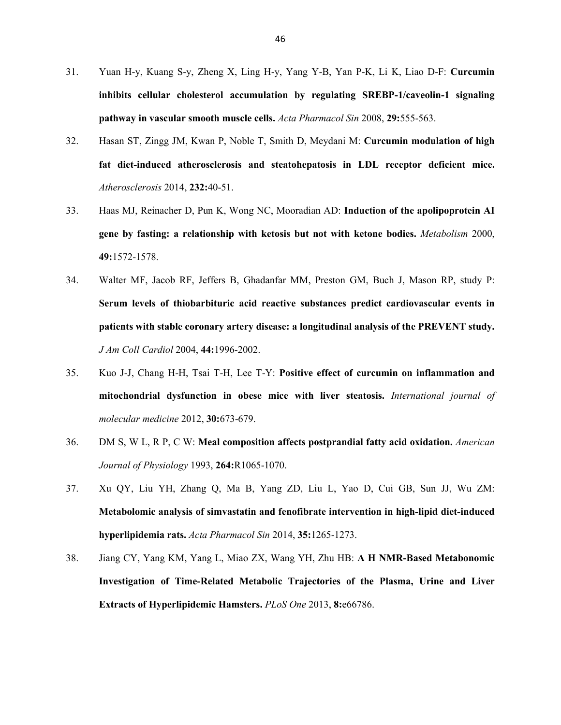- 31. Yuan H-y, Kuang S-y, Zheng X, Ling H-y, Yang Y-B, Yan P-K, Li K, Liao D-F: **Curcumin inhibits cellular cholesterol accumulation by regulating SREBP-1/caveolin-1 signaling pathway in vascular smooth muscle cells.** *Acta Pharmacol Sin* 2008, **29:**555-563.
- 32. Hasan ST, Zingg JM, Kwan P, Noble T, Smith D, Meydani M: **Curcumin modulation of high fat diet-induced atherosclerosis and steatohepatosis in LDL receptor deficient mice.** *Atherosclerosis* 2014, **232:**40-51.
- 33. Haas MJ, Reinacher D, Pun K, Wong NC, Mooradian AD: **Induction of the apolipoprotein AI gene by fasting: a relationship with ketosis but not with ketone bodies.** *Metabolism* 2000, **49:**1572-1578.
- 34. Walter MF, Jacob RF, Jeffers B, Ghadanfar MM, Preston GM, Buch J, Mason RP, study P: **Serum levels of thiobarbituric acid reactive substances predict cardiovascular events in patients with stable coronary artery disease: a longitudinal analysis of the PREVENT study.** *J Am Coll Cardiol* 2004, **44:**1996-2002.
- 35. Kuo J-J, Chang H-H, Tsai T-H, Lee T-Y: **Positive effect of curcumin on inflammation and mitochondrial dysfunction in obese mice with liver steatosis.** *International journal of molecular medicine* 2012, **30:**673-679.
- 36. DM S, W L, R P, C W: **Meal composition affects postprandial fatty acid oxidation.** *American Journal of Physiology* 1993, **264:**R1065-1070.
- 37. Xu QY, Liu YH, Zhang Q, Ma B, Yang ZD, Liu L, Yao D, Cui GB, Sun JJ, Wu ZM: **Metabolomic analysis of simvastatin and fenofibrate intervention in high-lipid diet-induced hyperlipidemia rats.** *Acta Pharmacol Sin* 2014, **35:**1265-1273.
- 38. Jiang CY, Yang KM, Yang L, Miao ZX, Wang YH, Zhu HB: **A H NMR-Based Metabonomic Investigation of Time-Related Metabolic Trajectories of the Plasma, Urine and Liver Extracts of Hyperlipidemic Hamsters.** *PLoS One* 2013, **8:**e66786.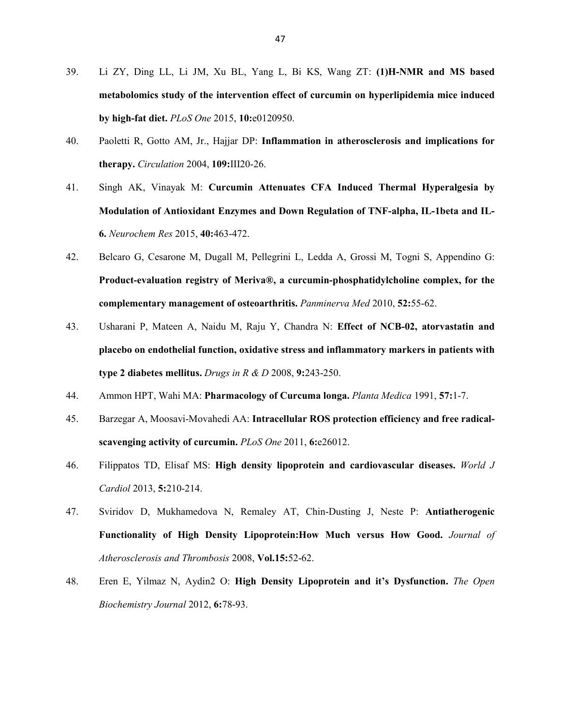- 39. Li ZY, Ding LL, Li JM, Xu BL, Yang L, Bi KS, Wang ZT: **(1)H-NMR and MS based metabolomics study of the intervention effect of curcumin on hyperlipidemia mice induced by high-fat diet.** *PLoS One* 2015, **10:**e0120950.
- 40. Paoletti R, Gotto AM, Jr., Hajjar DP: **Inflammation in atherosclerosis and implications for therapy.** *Circulation* 2004, **109:**III20-26.
- 41. Singh AK, Vinayak M: **Curcumin Attenuates CFA Induced Thermal Hyperalgesia by Modulation of Antioxidant Enzymes and Down Regulation of TNF-alpha, IL-1beta and IL-6.** *Neurochem Res* 2015, **40:**463-472.
- 42. Belcaro G, Cesarone M, Dugall M, Pellegrini L, Ledda A, Grossi M, Togni S, Appendino G: **Product-evaluation registry of Meriva®, a curcumin-phosphatidylcholine complex, for the complementary management of osteoarthritis.** *Panminerva Med* 2010, **52:**55-62.
- 43. Usharani P, Mateen A, Naidu M, Raju Y, Chandra N: **Effect of NCB-02, atorvastatin and placebo on endothelial function, oxidative stress and inflammatory markers in patients with type 2 diabetes mellitus.** *Drugs in R & D* 2008, **9:**243-250.
- 44. Ammon HPT, Wahi MA: **Pharmacology of Curcuma longa.** *Planta Medica* 1991, **57:**1-7.
- 45. Barzegar A, Moosavi-Movahedi AA: **Intracellular ROS protection efficiency and free radicalscavenging activity of curcumin.** *PLoS One* 2011, **6:**e26012.
- 46. Filippatos TD, Elisaf MS: **High density lipoprotein and cardiovascular diseases.** *World J Cardiol* 2013, **5:**210-214.
- 47. Sviridov D, Mukhamedova N, Remaley AT, Chin-Dusting J, Neste P: **Antiatherogenic Functionality of High Density Lipoprotein:How Much versus How Good.** *Journal of Atherosclerosis and Thrombosis* 2008, **Vol.15:**52-62.
- 48. Eren E, Yilmaz N, Aydin2 O: **High Density Lipoprotein and it's Dysfunction.** *The Open Biochemistry Journal* 2012, **6:**78-93.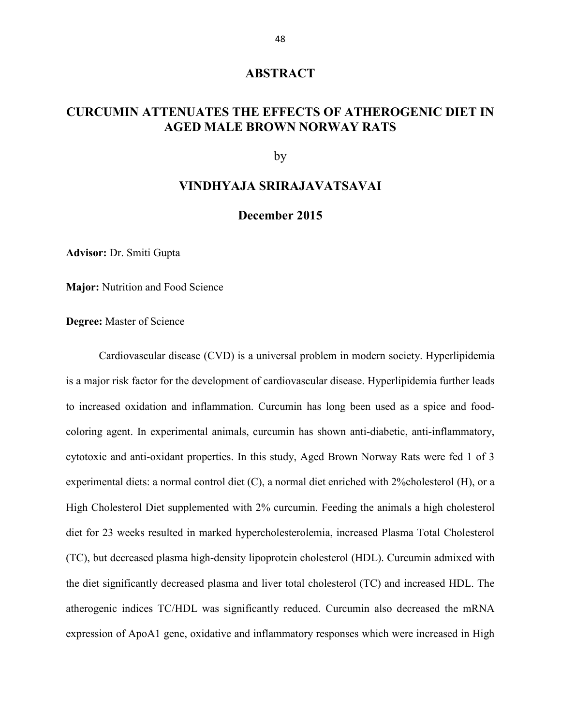#### **ABSTRACT**

# **CURCUMIN ATTENUATES THE EFFECTS OF ATHEROGENIC DIET IN AGED MALE BROWN NORWAY RATS**

by

#### **VINDHYAJA SRIRAJAVATSAVAI**

#### **December 2015**

**Advisor:** Dr. Smiti Gupta

**Major:** Nutrition and Food Science

**Degree:** Master of Science

Cardiovascular disease (CVD) is a universal problem in modern society. Hyperlipidemia is a major risk factor for the development of cardiovascular disease. Hyperlipidemia further leads to increased oxidation and inflammation. Curcumin has long been used as a spice and foodcoloring agent. In experimental animals, curcumin has shown anti-diabetic, anti-inflammatory, cytotoxic and anti-oxidant properties. In this study, Aged Brown Norway Rats were fed 1 of 3 experimental diets: a normal control diet (C), a normal diet enriched with 2%cholesterol (H), or a High Cholesterol Diet supplemented with 2% curcumin. Feeding the animals a high cholesterol diet for 23 weeks resulted in marked hypercholesterolemia, increased Plasma Total Cholesterol (TC), but decreased plasma high-density lipoprotein cholesterol (HDL). Curcumin admixed with the diet significantly decreased plasma and liver total cholesterol (TC) and increased HDL. The atherogenic indices TC/HDL was significantly reduced. Curcumin also decreased the mRNA expression of ApoA1 gene, oxidative and inflammatory responses which were increased in High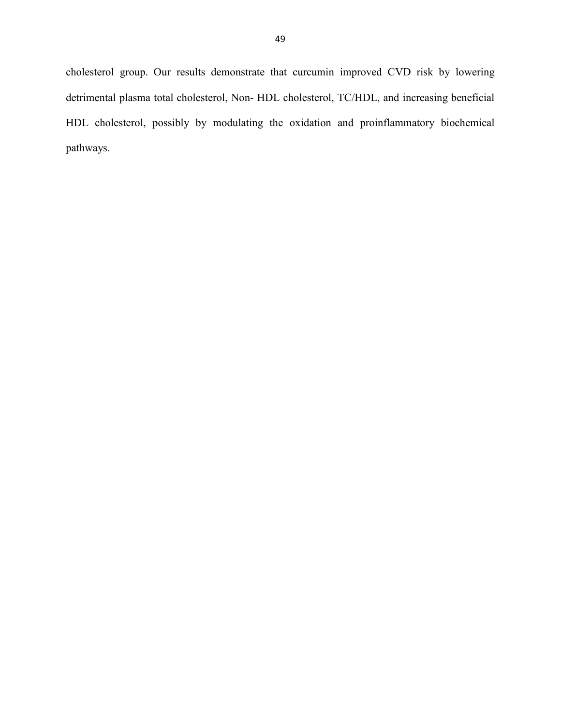cholesterol group. Our results demonstrate that curcumin improved CVD risk by lowering detrimental plasma total cholesterol, Non- HDL cholesterol, TC/HDL, and increasing beneficial HDL cholesterol, possibly by modulating the oxidation and proinflammatory biochemical pathways.